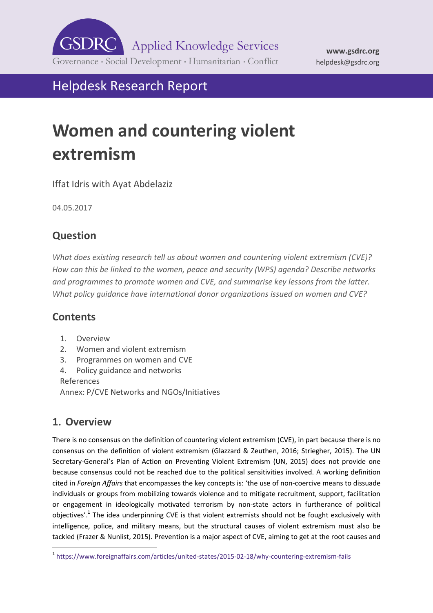

# Helpdesk Research Report

# **Women and countering violent extremism**

Iffat Idris with Ayat Abdelaziz

04.05.2017

# **Question**

*What does existing research tell us about women and countering violent extremism (CVE)? How can this be linked to the women, peace and security (WPS) agenda? Describe networks and programmes to promote women and CVE, and summarise key lessons from the latter. What policy guidance have international donor organizations issued on women and CVE?* 

# **Contents**

- 1. [Overview](#page-0-0)
- 2. [Women and violent extremism](#page-5-0)
- 3. [Programmes on women and CVE](#page-10-0)
- 4. [Policy guidance and networks](#page-17-0)

[References](#page-22-0) Annex: P/CVE Networks and NGOs/Initiatives

# <span id="page-0-0"></span>**1. Overview**

There is no consensus on the definition of countering violent extremism (CVE), in part because there is no consensus on the definition of violent extremism (Glazzard & Zeuthen, 2016; Striegher, 2015). The UN Secretary-General's Plan of Action on Preventing Violent Extremism (UN, 2015) does not provide one because consensus could not be reached due to the political sensitivities involved. A working definition cited in *Foreign Affairs* that encompasses the key concepts is: 'the use of non-coercive means to dissuade individuals or groups from mobilizing towards violence and to mitigate recruitment, support, facilitation or engagement in ideologically motivated terrorism by non-state actors in furtherance of political objectives'.<sup>1</sup> The idea underpinning CVE is that violent extremists should not be fought exclusively with intelligence, police, and military means, but the structural causes of violent extremism must also be tackled (Frazer & Nunlist, 2015). Prevention is a major aspect of CVE, aiming to get at the root causes and

<sup>-</sup>1 <https://www.foreignaffairs.com/articles/united-states/2015-02-18/why-countering-extremism-fails>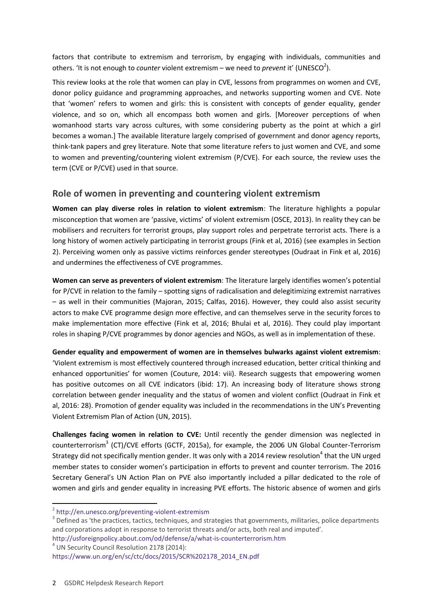factors that contribute to extremism and terrorism, by engaging with individuals, communities and others. 'It is not enough to *counter* violent extremism – we need to *prevent* it' (UNESCO<sup>2</sup>).

This review looks at the role that women can play in CVE, lessons from programmes on women and CVE, donor policy guidance and programming approaches, and networks supporting women and CVE. Note that 'women' refers to women and girls: this is consistent with concepts of gender equality, gender violence, and so on, which all encompass both women and girls. [Moreover perceptions of when womanhood starts vary across cultures, with some considering puberty as the point at which a girl becomes a woman.] The available literature largely comprised of government and donor agency reports, think-tank papers and grey literature. Note that some literature refers to just women and CVE, and some to women and preventing/countering violent extremism (P/CVE). For each source, the review uses the term (CVE or P/CVE) used in that source.

#### **Role of women in preventing and countering violent extremism**

**Women can play diverse roles in relation to violent extremism**: The literature highlights a popular misconception that women are 'passive, victims' of violent extremism (OSCE, 2013). In reality they can be mobilisers and recruiters for terrorist groups, play support roles and perpetrate terrorist acts. There is a long history of women actively participating in terrorist groups (Fink et al, 2016) (see examples in Section 2). Perceiving women only as passive victims reinforces gender stereotypes (Oudraat in Fink et al, 2016) and undermines the effectiveness of CVE programmes.

**Women can serve as preventers of violent extremism**: The literature largely identifies women's potential for P/CVE in relation to the family – spotting signs of radicalisation and delegitimizing extremist narratives – as well in their communities (Majoran, 2015; Calfas, 2016). However, they could also assist security actors to make CVE programme design more effective, and can themselves serve in the security forces to make implementation more effective (Fink et al, 2016; Bhulai et al, 2016). They could play important roles in shaping P/CVE programmes by donor agencies and NGOs, as well as in implementation of these.

**Gender equality and empowerment of women are in themselves bulwarks against violent extremism**: 'Violent extremism is most effectively countered through increased education, better critical thinking and enhanced opportunities' for women (Couture, 2014: viii). Research suggests that empowering women has positive outcomes on all CVE indicators (ibid: 17). An increasing body of literature shows strong correlation between gender inequality and the status of women and violent conflict (Oudraat in Fink et al, 2016: 28). Promotion of gender equality was included in the recommendations in the UN's Preventing Violent Extremism Plan of Action (UN, 2015).

**Challenges facing women in relation to CVE:** Until recently the gender dimension was neglected in counterterrorism<sup>3</sup> (CT)/CVE efforts (GCTF, 2015a), for example, the 2006 UN Global Counter-Terrorism Strategy did not specifically mention gender. It was only with a 2014 review resolution<sup>4</sup> that the UN urged member states to consider women's participation in efforts to prevent and counter terrorism. The 2016 Secretary General's UN Action Plan on PVE also importantly included a pillar dedicated to the role of women and girls and gender equality in increasing PVE efforts. The historic absence of women and girls

<sup>4</sup> UN Security Council Resolution 2178 (2014):

-

<sup>&</sup>lt;sup>2</sup> <http://en.unesco.org/preventing-violent-extremism>

 $3$  Defined as 'the practices, tactics, techniques, and strategies that governments, militaries, police departments and corporations adopt in response to terrorist threats and/or acts, both real and imputed'.

<http://usforeignpolicy.about.com/od/defense/a/what-is-counterterrorism.htm>

[https://www.un.org/en/sc/ctc/docs/2015/SCR%202178\\_2014\\_EN.pdf](https://www.un.org/en/sc/ctc/docs/2015/SCR%202178_2014_EN.pdf)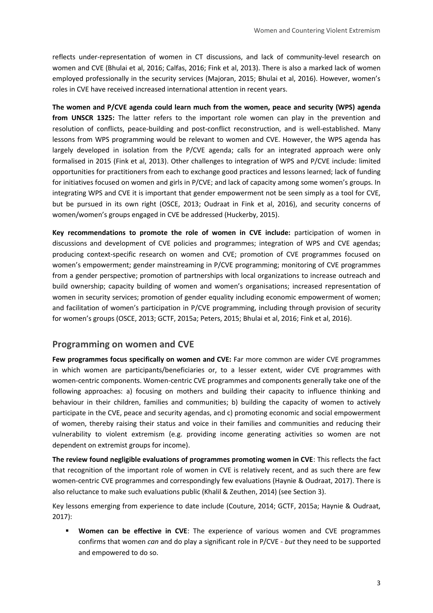reflects under-representation of women in CT discussions, and lack of community-level research on women and CVE (Bhulai et al, 2016; Calfas, 2016; Fink et al, 2013). There is also a marked lack of women employed professionally in the security services (Majoran, 2015; Bhulai et al, 2016). However, women's roles in CVE have received increased international attention in recent years.

**The women and P/CVE agenda could learn much from the women, peace and security (WPS) agenda from UNSCR 1325:** The latter refers to the important role women can play in the prevention and resolution of conflicts, peace-building and post-conflict reconstruction, and is well-established. Many lessons from WPS programming would be relevant to women and CVE. However, the WPS agenda has largely developed in isolation from the P/CVE agenda; calls for an integrated approach were only formalised in 2015 (Fink et al, 2013). Other challenges to integration of WPS and P/CVE include: limited opportunities for practitioners from each to exchange good practices and lessons learned; lack of funding for initiatives focused on women and girls in P/CVE; and lack of capacity among some women's groups. In integrating WPS and CVE it is important that gender empowerment not be seen simply as a tool for CVE, but be pursued in its own right (OSCE, 2013; Oudraat in Fink et al, 2016), and security concerns of women/women's groups engaged in CVE be addressed (Huckerby, 2015).

**Key recommendations to promote the role of women in CVE include:** participation of women in discussions and development of CVE policies and programmes; integration of WPS and CVE agendas; producing context-specific research on women and CVE; promotion of CVE programmes focused on women's empowerment; gender mainstreaming in P/CVE programming; monitoring of CVE programmes from a gender perspective; promotion of partnerships with local organizations to increase outreach and build ownership; capacity building of women and women's organisations; increased representation of women in security services; promotion of gender equality including economic empowerment of women; and facilitation of women's participation in P/CVE programming, including through provision of security for women's groups (OSCE, 2013; GCTF, 2015a; Peters, 2015; Bhulai et al, 2016; Fink et al, 2016).

#### **Programming on women and CVE**

**Few programmes focus specifically on women and CVE:** Far more common are wider CVE programmes in which women are participants/beneficiaries or, to a lesser extent, wider CVE programmes with women-centric components. Women-centric CVE programmes and components generally take one of the following approaches: a) focusing on mothers and building their capacity to influence thinking and behaviour in their children, families and communities; b) building the capacity of women to actively participate in the CVE, peace and security agendas, and c) promoting economic and social empowerment of women, thereby raising their status and voice in their families and communities and reducing their vulnerability to violent extremism (e.g. providing income generating activities so women are not dependent on extremist groups for income).

**The review found negligible evaluations of programmes promoting women in CVE**: This reflects the fact that recognition of the important role of women in CVE is relatively recent, and as such there are few women-centric CVE programmes and correspondingly few evaluations (Haynie & Oudraat, 2017). There is also reluctance to make such evaluations public (Khalil & Zeuthen, 2014) (see Section 3).

Key lessons emerging from experience to date include (Couture, 2014; GCTF, 2015a; Haynie & Oudraat, 2017):

 **Women can be effective in CVE**: The experience of various women and CVE programmes confirms that women *can* and do play a significant role in P/CVE - *but* they need to be supported and empowered to do so.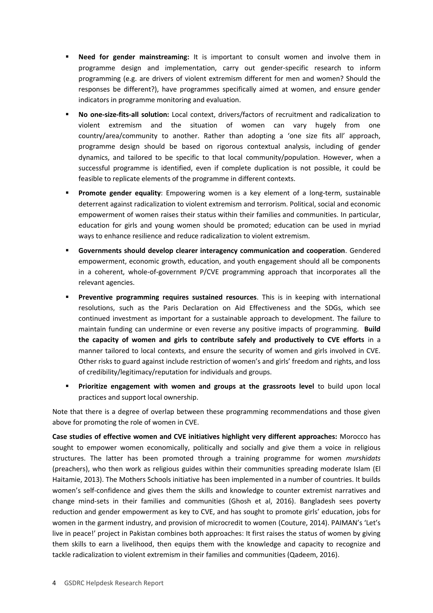- **Need for gender mainstreaming:** It is important to consult women and involve them in programme design and implementation, carry out gender-specific research to inform programming (e.g. are drivers of violent extremism different for men and women? Should the responses be different?), have programmes specifically aimed at women, and ensure gender indicators in programme monitoring and evaluation.
- **No one-size-fits-all solution:** Local context, drivers/factors of recruitment and radicalization to violent extremism and the situation of women can vary hugely from one country/area/community to another. Rather than adopting a 'one size fits all' approach, programme design should be based on rigorous contextual analysis, including of gender dynamics, and tailored to be specific to that local community/population. However, when a successful programme is identified, even if complete duplication is not possible, it could be feasible to replicate elements of the programme in different contexts.
- **Promote gender equality**: Empowering women is a key element of a long-term, sustainable deterrent against radicalization to violent extremism and terrorism. Political, social and economic empowerment of women raises their status within their families and communities. In particular, education for girls and young women should be promoted; education can be used in myriad ways to enhance resilience and reduce radicalization to violent extremism.
- **Governments should develop clearer interagency communication and cooperation**. Gendered empowerment, economic growth, education, and youth engagement should all be components in a coherent, whole-of-government P/CVE programming approach that incorporates all the relevant agencies.
- **Preventive programming requires sustained resources**. This is in keeping with international resolutions, such as the Paris Declaration on Aid Effectiveness and the SDGs, which see continued investment as important for a sustainable approach to development. The failure to maintain funding can undermine or even reverse any positive impacts of programming. **Build the capacity of women and girls to contribute safely and productively to CVE efforts** in a manner tailored to local contexts, and ensure the security of women and girls involved in CVE. Other risks to guard against include restriction of women's and girls' freedom and rights, and loss of credibility/legitimacy/reputation for individuals and groups.
- **Prioritize engagement with women and groups at the grassroots level** to build upon local practices and support local ownership.

Note that there is a degree of overlap between these programming recommendations and those given above for promoting the role of women in CVE.

**Case studies of effective women and CVE initiatives highlight very different approaches:** Morocco has sought to empower women economically, politically and socially and give them a voice in religious structures. The latter has been promoted through a training programme for women *murshidats* (preachers), who then work as religious guides within their communities spreading moderate Islam (El Haitamie, 2013). The Mothers Schools initiative has been implemented in a number of countries. It builds women's self-confidence and gives them the skills and knowledge to counter extremist narratives and change mind-sets in their families and communities (Ghosh et al, 2016). Bangladesh sees poverty reduction and gender empowerment as key to CVE, and has sought to promote girls' education, jobs for women in the garment industry, and provision of microcredit to women (Couture, 2014). PAIMAN's 'Let's live in peace!' project in Pakistan combines both approaches: It first raises the status of women by giving them skills to earn a livelihood, then equips them with the knowledge and capacity to recognize and tackle radicalization to violent extremism in their families and communities (Qadeem, 2016).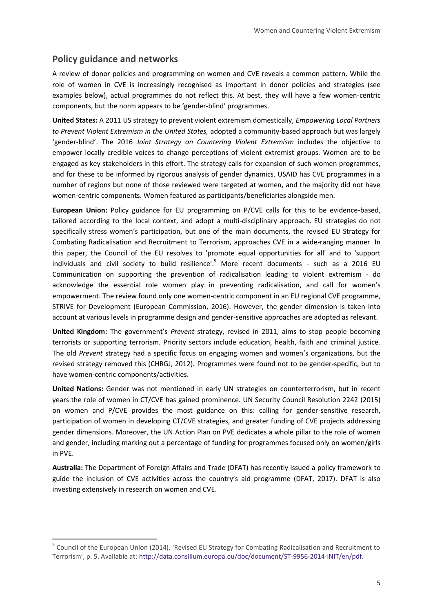# **Policy guidance and networks**

-

A review of donor policies and programming on women and CVE reveals a common pattern. While the role of women in CVE is increasingly recognised as important in donor policies and strategies (see examples below), actual programmes do not reflect this. At best, they will have a few women-centric components, but the norm appears to be 'gender-blind' programmes.

**United States:** A 2011 US strategy to prevent violent extremism domestically, *Empowering Local Partners to Prevent Violent Extremism in the United States,* adopted a community-based approach but was largely 'gender-blind'. The 2016 *Joint Strategy on Countering Violent Extremism* includes the objective to empower locally credible voices to change perceptions of violent extremist groups. Women are to be engaged as key stakeholders in this effort. The strategy calls for expansion of such women programmes, and for these to be informed by rigorous analysis of gender dynamics. USAID has CVE programmes in a number of regions but none of those reviewed were targeted at women, and the majority did not have women-centric components. Women featured as participants/beneficiaries alongside men.

**European Union:** Policy guidance for EU programming on P/CVE calls for this to be evidence-based, tailored according to the local context, and adopt a multi-disciplinary approach. EU strategies do not specifically stress women's participation, but one of the main documents, the revised EU Strategy for Combating Radicalisation and Recruitment to Terrorism, approaches CVE in a wide-ranging manner. In this paper, the Council of the EU resolves to 'promote equal opportunities for all' and to 'support individuals and civil society to build resilience'.<sup>5</sup> More recent documents - such as a 2016 EU Communication on supporting the prevention of radicalisation leading to violent extremism - do acknowledge the essential role women play in preventing radicalisation, and call for women's empowerment. The review found only one women-centric component in an EU regional CVE programme, STRIVE for Development (European Commission, 2016). However, the gender dimension is taken into account at various levels in programme design and gender-sensitive approaches are adopted as relevant.

**United Kingdom:** The government's *Prevent* strategy, revised in 2011, aims to stop people becoming terrorists or supporting terrorism. Priority sectors include education, health, faith and criminal justice. The old *Prevent* strategy had a specific focus on engaging women and women's organizations, but the revised strategy removed this (CHRGJ, 2012). Programmes were found not to be gender-specific, but to have women-centric components/activities.

**United Nations:** Gender was not mentioned in early UN strategies on counterterrorism, but in recent years the role of women in CT/CVE has gained prominence. UN Security Council Resolution 2242 (2015) on women and P/CVE provides the most guidance on this: calling for gender-sensitive research, participation of women in developing CT/CVE strategies, and greater funding of CVE projects addressing gender dimensions. Moreover, the UN Action Plan on PVE dedicates a whole pillar to the role of women and gender, including marking out a percentage of funding for programmes focused only on women/girls in PVE.

**Australia:** The Department of Foreign Affairs and Trade (DFAT) has recently issued a policy framework to guide the inclusion of CVE activities across the country's aid programme (DFAT, 2017). DFAT is also investing extensively in research on women and CVE.

<sup>&</sup>lt;sup>5</sup> Council of the European Union (2014), 'Revised EU Strategy for Combating Radicalisation and Recruitment to Terrorism', p. 5. Available at: [http://data.consilium.europa.eu/doc/document/ST-9956-2014-INIT/en/pdf.](http://data.consilium.europa.eu/doc/document/ST-9956-2014-INIT/en/pdf)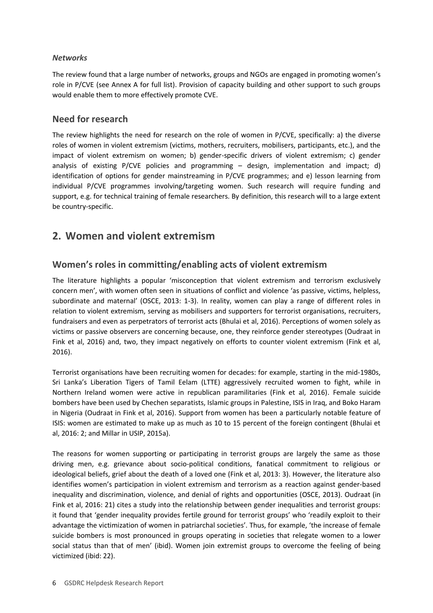#### *Networks*

The review found that a large number of networks, groups and NGOs are engaged in promoting women's role in P/CVE (see Annex A for full list). Provision of capacity building and other support to such groups would enable them to more effectively promote CVE.

#### **Need for research**

The review highlights the need for research on the role of women in P/CVE, specifically: a) the diverse roles of women in violent extremism (victims, mothers, recruiters, mobilisers, participants, etc.), and the impact of violent extremism on women; b) gender-specific drivers of violent extremism; c) gender analysis of existing P/CVE policies and programming – design, implementation and impact; d) identification of options for gender mainstreaming in P/CVE programmes; and e) lesson learning from individual P/CVE programmes involving/targeting women. Such research will require funding and support, e.g. for technical training of female researchers. By definition, this research will to a large extent be country-specific.

# <span id="page-5-0"></span>**2. Women and violent extremism**

# **Women's roles in committing/enabling acts of violent extremism**

The literature highlights a popular 'misconception that violent extremism and terrorism exclusively concern men', with women often seen in situations of conflict and violence 'as passive, victims, helpless, subordinate and maternal' (OSCE, 2013: 1-3). In reality, women can play a range of different roles in relation to violent extremism, serving as mobilisers and supporters for terrorist organisations, recruiters, fundraisers and even as perpetrators of terrorist acts (Bhulai et al, 2016). Perceptions of women solely as victims or passive observers are concerning because, one, they reinforce gender stereotypes (Oudraat in Fink et al, 2016) and, two, they impact negatively on efforts to counter violent extremism (Fink et al, 2016).

Terrorist organisations have been recruiting women for decades: for example, starting in the mid-1980s, Sri Lanka's Liberation Tigers of Tamil Eelam (LTTE) aggressively recruited women to fight, while in Northern Ireland women were active in republican paramilitaries (Fink et al, 2016). Female suicide bombers have been used by Chechen separatists, Islamic groups in Palestine, ISIS in Iraq, and Boko Haram in Nigeria (Oudraat in Fink et al, 2016). Support from women has been a particularly notable feature of ISIS: women are estimated to make up as much as 10 to 15 percent of the foreign contingent (Bhulai et al, 2016: 2; and Millar in USIP, 2015a).

The reasons for women supporting or participating in terrorist groups are largely the same as those driving men, e.g. grievance about socio-political conditions, fanatical commitment to religious or ideological beliefs, grief about the death of a loved one (Fink et al, 2013: 3). However, the literature also identifies women's participation in violent extremism and terrorism as a reaction against gender-based inequality and discrimination, violence, and denial of rights and opportunities (OSCE, 2013). Oudraat (in Fink et al, 2016: 21) cites a study into the relationship between gender inequalities and terrorist groups: it found that 'gender inequality provides fertile ground for terrorist groups' who 'readily exploit to their advantage the victimization of women in patriarchal societies'. Thus, for example, 'the increase of female suicide bombers is most pronounced in groups operating in societies that relegate women to a lower social status than that of men' (ibid). Women join extremist groups to overcome the feeling of being victimized (ibid: 22).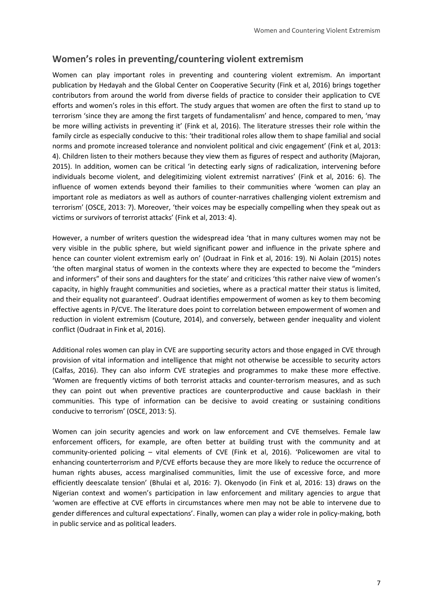### **Women's roles in preventing/countering violent extremism**

Women can play important roles in preventing and countering violent extremism. An important publication by Hedayah and the Global Center on Cooperative Security (Fink et al, 2016) brings together contributors from around the world from diverse fields of practice to consider their application to CVE efforts and women's roles in this effort. The study argues that women are often the first to stand up to terrorism 'since they are among the first targets of fundamentalism' and hence, compared to men, 'may be more willing activists in preventing it' (Fink et al, 2016). The literature stresses their role within the family circle as especially conducive to this: 'their traditional roles allow them to shape familial and social norms and promote increased tolerance and nonviolent political and civic engagement' (Fink et al, 2013: 4). Children listen to their mothers because they view them as figures of respect and authority (Majoran, 2015). In addition, women can be critical 'in detecting early signs of radicalization, intervening before individuals become violent, and delegitimizing violent extremist narratives' (Fink et al, 2016: 6). The influence of women extends beyond their families to their communities where 'women can play an important role as mediators as well as authors of counter-narratives challenging violent extremism and terrorism' (OSCE, 2013: 7). Moreover, 'their voices may be especially compelling when they speak out as victims or survivors of terrorist attacks' (Fink et al, 2013: 4).

However, a number of writers question the widespread idea 'that in many cultures women may not be very visible in the public sphere, but wield significant power and influence in the private sphere and hence can counter violent extremism early on' (Oudraat in Fink et al, 2016: 19). Ni Aolain (2015) notes 'the often marginal status of women in the contexts where they are expected to become the "minders and informers" of their sons and daughters for the state' and criticizes 'this rather naive view of women's capacity, in highly fraught communities and societies, where as a practical matter their status is limited, and their equality not guaranteed'. Oudraat identifies empowerment of women as key to them becoming effective agents in P/CVE. The literature does point to correlation between empowerment of women and reduction in violent extremism (Couture, 2014), and conversely, between gender inequality and violent conflict (Oudraat in Fink et al, 2016).

Additional roles women can play in CVE are supporting security actors and those engaged in CVE through provision of vital information and intelligence that might not otherwise be accessible to security actors (Calfas, 2016). They can also inform CVE strategies and programmes to make these more effective. 'Women are frequently victims of both terrorist attacks and counter-terrorism measures, and as such they can point out when preventive practices are counterproductive and cause backlash in their communities. This type of information can be decisive to avoid creating or sustaining conditions conducive to terrorism' (OSCE, 2013: 5).

Women can join security agencies and work on law enforcement and CVE themselves. Female law enforcement officers, for example, are often better at building trust with the community and at community-oriented policing – vital elements of CVE (Fink et al, 2016). 'Policewomen are vital to enhancing counterterrorism and P/CVE efforts because they are more likely to reduce the occurrence of human rights abuses, access marginalised communities, limit the use of excessive force, and more efficiently deescalate tension' (Bhulai et al, 2016: 7). Okenyodo (in Fink et al, 2016: 13) draws on the Nigerian context and women's participation in law enforcement and military agencies to argue that 'women are effective at CVE efforts in circumstances where men may not be able to intervene due to gender differences and cultural expectations'. Finally, women can play a wider role in policy-making, both in public service and as political leaders.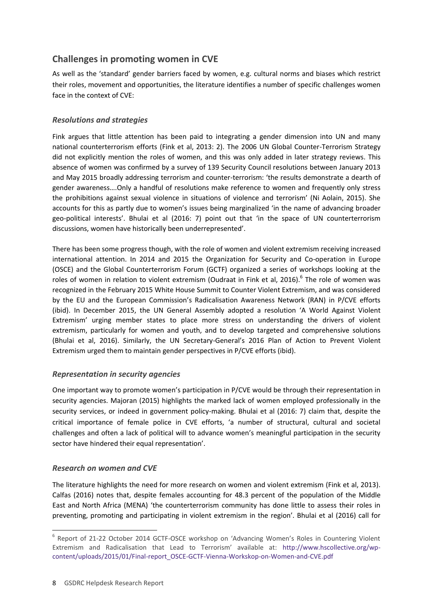# **Challenges in promoting women in CVE**

As well as the 'standard' gender barriers faced by women, e.g. cultural norms and biases which restrict their roles, movement and opportunities, the literature identifies a number of specific challenges women face in the context of CVE:

#### *Resolutions and strategies*

Fink argues that little attention has been paid to integrating a gender dimension into UN and many national counterterrorism efforts (Fink et al, 2013: 2). The 2006 UN Global Counter-Terrorism Strategy did not explicitly mention the roles of women, and this was only added in later strategy reviews. This absence of women was confirmed by a survey of 139 Security Council resolutions between January 2013 and May 2015 broadly addressing terrorism and counter-terrorism: 'the results demonstrate a dearth of gender awareness….Only a handful of resolutions make reference to women and frequently only stress the prohibitions against sexual violence in situations of violence and terrorism' (Ni Aolain, 2015). She accounts for this as partly due to women's issues being marginalized 'in the name of advancing broader geo-political interests'. Bhulai et al (2016: 7) point out that 'in the space of UN counterterrorism discussions, women have historically been underrepresented'.

There has been some progress though, with the role of women and violent extremism receiving increased international attention. In 2014 and 2015 the Organization for Security and Co-operation in Europe (OSCE) and the Global Counterterrorism Forum (GCTF) organized a series of workshops looking at the roles of women in relation to violent extremism (Oudraat in Fink et al, 2016).<sup>6</sup> The role of women was recognized in the February 2015 White House Summit to Counter Violent Extremism, and was considered by the EU and the European Commission's Radicalisation Awareness Network (RAN) in P/CVE efforts (ibid). In December 2015, the UN General Assembly adopted a resolution 'A World Against Violent Extremism' urging member states to place more stress on understanding the drivers of violent extremism, particularly for women and youth, and to develop targeted and comprehensive solutions (Bhulai et al, 2016). Similarly, the UN Secretary-General's 2016 Plan of Action to Prevent Violent Extremism urged them to maintain gender perspectives in P/CVE efforts (ibid).

#### *Representation in security agencies*

One important way to promote women's participation in P/CVE would be through their representation in security agencies. Majoran (2015) highlights the marked lack of women employed professionally in the security services, or indeed in government policy-making. Bhulai et al (2016: 7) claim that, despite the critical importance of female police in CVE efforts, 'a number of structural, cultural and societal challenges and often a lack of political will to advance women's meaningful participation in the security sector have hindered their equal representation'.

#### *Research on women and CVE*

-

The literature highlights the need for more research on women and violent extremism (Fink et al, 2013). Calfas (2016) notes that, despite females accounting for 48.3 percent of the population of the Middle East and North Africa (MENA) 'the counterterrorism community has done little to assess their roles in preventing, promoting and participating in violent extremism in the region'. Bhulai et al (2016) call for

<sup>&</sup>lt;sup>6</sup> Report of 21-22 October 2014 GCTF-OSCE workshop on 'Advancing Women's Roles in Countering Violent Extremism and Radicalisation that Lead to Terrorism' available at: [http://www.hscollective.org/wp](http://www.hscollective.org/wp-content/uploads/2015/01/Final-report_OSCE-GCTF-Vienna-Workskop-on-Women-and-CVE.pdf)[content/uploads/2015/01/Final-report\\_OSCE-GCTF-Vienna-Workskop-on-Women-and-CVE.pdf](http://www.hscollective.org/wp-content/uploads/2015/01/Final-report_OSCE-GCTF-Vienna-Workskop-on-Women-and-CVE.pdf)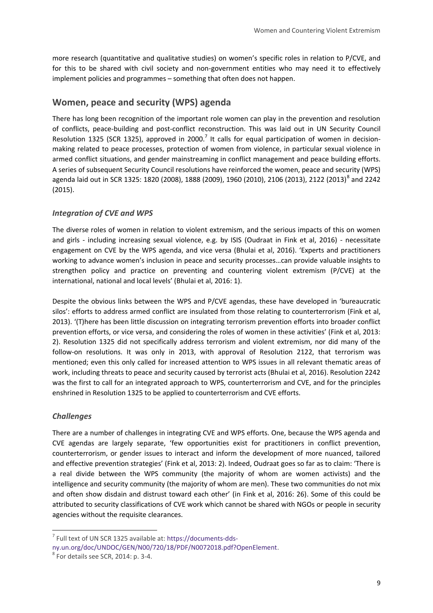more research (quantitative and qualitative studies) on women's specific roles in relation to P/CVE, and for this to be shared with civil society and non-government entities who may need it to effectively implement policies and programmes – something that often does not happen.

# **Women, peace and security (WPS) agenda**

There has long been recognition of the important role women can play in the prevention and resolution of conflicts, peace-building and post-conflict reconstruction. This was laid out in UN Security Council Resolution 1325 (SCR 1325), approved in 2000.<sup>7</sup> It calls for equal participation of women in decisionmaking related to peace processes, protection of women from violence, in particular sexual violence in armed conflict situations, and gender mainstreaming in conflict management and peace building efforts. A series of subsequent Security Council resolutions have reinforced the women, peace and security (WPS) agenda laid out in SCR 1325: 1820 (2008), 1888 (2009), 1960 (2010), 2106 (2013), 2122 (2013)<sup>8</sup> and 2242 (2015).

#### *Integration of CVE and WPS*

The diverse roles of women in relation to violent extremism, and the serious impacts of this on women and girls - including increasing sexual violence, e.g. by ISIS (Oudraat in Fink et al, 2016) - necessitate engagement on CVE by the WPS agenda, and vice versa (Bhulai et al, 2016). 'Experts and practitioners working to advance women's inclusion in peace and security processes…can provide valuable insights to strengthen policy and practice on preventing and countering violent extremism (P/CVE) at the international, national and local levels' (Bhulai et al, 2016: 1).

Despite the obvious links between the WPS and P/CVE agendas, these have developed in 'bureaucratic silos': efforts to address armed conflict are insulated from those relating to counterterrorism (Fink et al, 2013). '(T)here has been little discussion on integrating terrorism prevention efforts into broader conflict prevention efforts, or vice versa, and considering the roles of women in these activities' (Fink et al, 2013: 2). Resolution 1325 did not specifically address terrorism and violent extremism, nor did many of the follow-on resolutions. It was only in 2013, with approval of Resolution 2122, that terrorism was mentioned; even this only called for increased attention to WPS issues in all relevant thematic areas of work, including threats to peace and security caused by terrorist acts (Bhulai et al, 2016). Resolution 2242 was the first to call for an integrated approach to WPS, counterterrorism and CVE, and for the principles enshrined in Resolution 1325 to be applied to counterterrorism and CVE efforts.

#### *Challenges*

-

There are a number of challenges in integrating CVE and WPS efforts. One, because the WPS agenda and CVE agendas are largely separate, 'few opportunities exist for practitioners in conflict prevention, counterterrorism, or gender issues to interact and inform the development of more nuanced, tailored and effective prevention strategies' (Fink et al, 2013: 2). Indeed, Oudraat goes so far as to claim: 'There is a real divide between the WPS community (the majority of whom are women activists) and the intelligence and security community (the majority of whom are men). These two communities do not mix and often show disdain and distrust toward each other' (in Fink et al, 2016: 26). Some of this could be attributed to security classifications of CVE work which cannot be shared with NGOs or people in security agencies without the requisite clearances.

<sup>7</sup> Full text of UN SCR 1325 available at[: https://documents-dds-](https://documents-dds-ny.un.org/doc/UNDOC/GEN/N00/720/18/PDF/N0072018.pdf?OpenElement)

[ny.un.org/doc/UNDOC/GEN/N00/720/18/PDF/N0072018.pdf?OpenElement.](https://documents-dds-ny.un.org/doc/UNDOC/GEN/N00/720/18/PDF/N0072018.pdf?OpenElement) 

 $8$  For details see SCR, 2014: p. 3-4.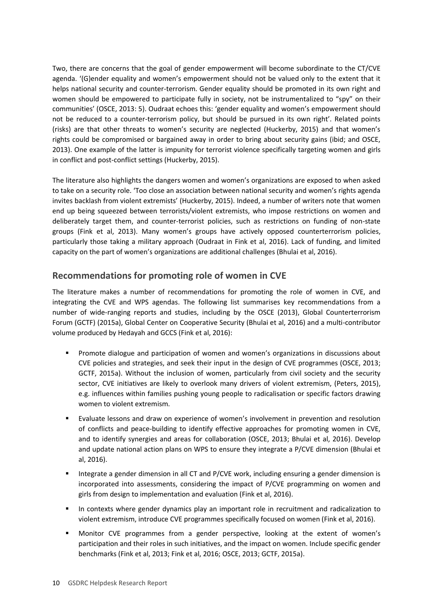Two, there are concerns that the goal of gender empowerment will become subordinate to the CT/CVE agenda. '(G)ender equality and women's empowerment should not be valued only to the extent that it helps national security and counter-terrorism. Gender equality should be promoted in its own right and women should be empowered to participate fully in society, not be instrumentalized to "spy" on their communities' (OSCE, 2013: 5). Oudraat echoes this: 'gender equality and women's empowerment should not be reduced to a counter-terrorism policy, but should be pursued in its own right'. Related points (risks) are that other threats to women's security are neglected (Huckerby, 2015) and that women's rights could be compromised or bargained away in order to bring about security gains (ibid; and OSCE, 2013). One example of the latter is impunity for terrorist violence specifically targeting women and girls in conflict and post-conflict settings (Huckerby, 2015).

The literature also highlights the dangers women and women's organizations are exposed to when asked to take on a security role. 'Too close an association between national security and women's rights agenda invites backlash from violent extremists' (Huckerby, 2015). Indeed, a number of writers note that women end up being squeezed between terrorists/violent extremists, who impose restrictions on women and deliberately target them, and counter-terrorist policies, such as restrictions on funding of non-state groups (Fink et al, 2013). Many women's groups have actively opposed counterterrorism policies, particularly those taking a military approach (Oudraat in Fink et al, 2016). Lack of funding, and limited capacity on the part of women's organizations are additional challenges (Bhulai et al, 2016).

# **Recommendations for promoting role of women in CVE**

The literature makes a number of recommendations for promoting the role of women in CVE, and integrating the CVE and WPS agendas. The following list summarises key recommendations from a number of wide-ranging reports and studies, including by the OSCE (2013), Global Counterterrorism Forum (GCTF) (2015a), Global Center on Cooperative Security (Bhulai et al, 2016) and a multi-contributor volume produced by Hedayah and GCCS (Fink et al, 2016):

- **Promote dialogue and participation of women and women's organizations in discussions about** CVE policies and strategies, and seek their input in the design of CVE programmes (OSCE, 2013; GCTF, 2015a). Without the inclusion of women, particularly from civil society and the security sector, CVE initiatives are likely to overlook many drivers of violent extremism, (Peters, 2015), e.g. influences within families pushing young people to radicalisation or specific factors drawing women to violent extremism.
- Evaluate lessons and draw on experience of women's involvement in prevention and resolution of conflicts and peace-building to identify effective approaches for promoting women in CVE, and to identify synergies and areas for collaboration (OSCE, 2013; Bhulai et al, 2016). Develop and update national action plans on WPS to ensure they integrate a P/CVE dimension (Bhulai et al, 2016).
- Integrate a gender dimension in all CT and P/CVE work, including ensuring a gender dimension is incorporated into assessments, considering the impact of P/CVE programming on women and girls from design to implementation and evaluation (Fink et al, 2016).
- In contexts where gender dynamics play an important role in recruitment and radicalization to violent extremism, introduce CVE programmes specifically focused on women (Fink et al, 2016).
- Monitor CVE programmes from a gender perspective, looking at the extent of women's participation and their roles in such initiatives, and the impact on women. Include specific gender benchmarks (Fink et al, 2013; Fink et al, 2016; OSCE, 2013; GCTF, 2015a).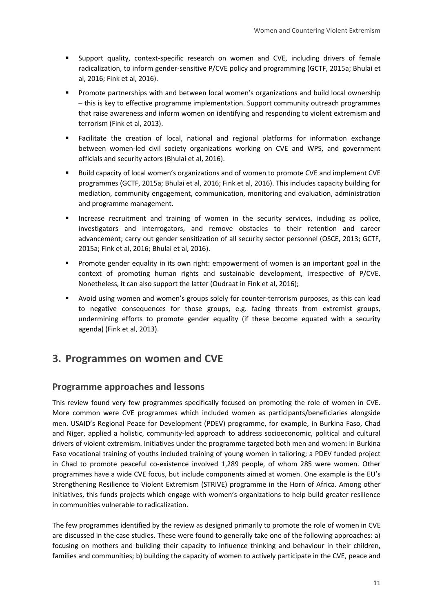- Support quality, context-specific research on women and CVE, including drivers of female radicalization, to inform gender-sensitive P/CVE policy and programming (GCTF, 2015a; Bhulai et al, 2016; Fink et al, 2016).
- Promote partnerships with and between local women's organizations and build local ownership – this is key to effective programme implementation. Support community outreach programmes that raise awareness and inform women on identifying and responding to violent extremism and terrorism (Fink et al, 2013).
- Facilitate the creation of local, national and regional platforms for information exchange between women-led civil society organizations working on CVE and WPS, and government officials and security actors (Bhulai et al, 2016).
- Build capacity of local women's organizations and of women to promote CVE and implement CVE programmes (GCTF, 2015a; Bhulai et al, 2016; Fink et al, 2016). This includes capacity building for mediation, community engagement, communication, monitoring and evaluation, administration and programme management.
- **Increase recruitment and training of women in the security services, including as police,** investigators and interrogators, and remove obstacles to their retention and career advancement; carry out gender sensitization of all security sector personnel (OSCE, 2013; GCTF, 2015a; Fink et al, 2016; Bhulai et al, 2016).
- Promote gender equality in its own right: empowerment of women is an important goal in the context of promoting human rights and sustainable development, irrespective of P/CVE. Nonetheless, it can also support the latter (Oudraat in Fink et al, 2016);
- Avoid using women and women's groups solely for counter-terrorism purposes, as this can lead to negative consequences for those groups, e.g. facing threats from extremist groups, undermining efforts to promote gender equality (if these become equated with a security agenda) (Fink et al, 2013).

# <span id="page-10-0"></span>**3. Programmes on women and CVE**

#### **Programme approaches and lessons**

This review found very few programmes specifically focused on promoting the role of women in CVE. More common were CVE programmes which included women as participants/beneficiaries alongside men. USAID's Regional Peace for Development (PDEV) programme, for example, in Burkina Faso, Chad and Niger, applied a holistic, community-led approach to address socioeconomic, political and cultural drivers of violent extremism. Initiatives under the programme targeted both men and women: in Burkina Faso vocational training of youths included training of young women in tailoring; a PDEV funded project in Chad to promote peaceful co-existence involved 1,289 people, of whom 285 were women. Other programmes have a wide CVE focus, but include components aimed at women. One example is the EU's Strengthening Resilience to Violent Extremism (STRIVE) programme in the Horn of Africa. Among other initiatives, this funds projects which engage with women's organizations to help build greater resilience in communities vulnerable to radicalization.

The few programmes identified by the review as designed primarily to promote the role of women in CVE are discussed in the case studies. These were found to generally take one of the following approaches: a) focusing on mothers and building their capacity to influence thinking and behaviour in their children, families and communities; b) building the capacity of women to actively participate in the CVE, peace and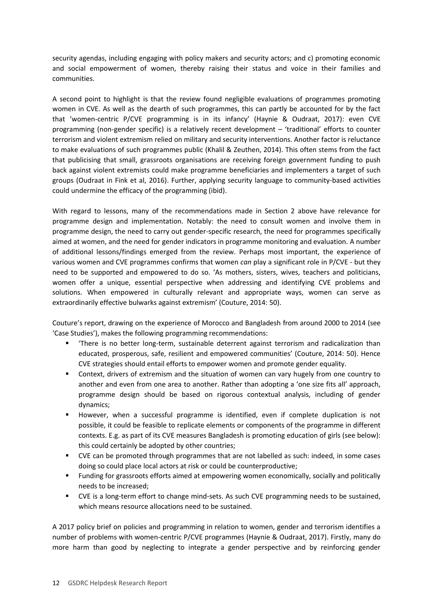security agendas, including engaging with policy makers and security actors; and c) promoting economic and social empowerment of women, thereby raising their status and voice in their families and communities.

A second point to highlight is that the review found negligible evaluations of programmes promoting women in CVE. As well as the dearth of such programmes, this can partly be accounted for by the fact that 'women-centric P/CVE programming is in its infancy' (Haynie & Oudraat, 2017): even CVE programming (non-gender specific) is a relatively recent development – 'traditional' efforts to counter terrorism and violent extremism relied on military and security interventions. Another factor is reluctance to make evaluations of such programmes public (Khalil & Zeuthen, 2014). This often stems from the fact that publicising that small, grassroots organisations are receiving foreign government funding to push back against violent extremists could make programme beneficiaries and implementers a target of such groups (Oudraat in Fink et al, 2016). Further, applying security language to community-based activities could undermine the efficacy of the programming (ibid).

With regard to lessons, many of the recommendations made in Section 2 above have relevance for programme design and implementation. Notably: the need to consult women and involve them in programme design, the need to carry out gender-specific research, the need for programmes specifically aimed at women, and the need for gender indicators in programme monitoring and evaluation. A number of additional lessons/findings emerged from the review. Perhaps most important, the experience of various women and CVE programmes confirms that women *can* play a significant role in P/CVE - but they need to be supported and empowered to do so. 'As mothers, sisters, wives, teachers and politicians, women offer a unique, essential perspective when addressing and identifying CVE problems and solutions. When empowered in culturally relevant and appropriate ways, women can serve as extraordinarily effective bulwarks against extremism' (Couture, 2014: 50).

Couture's report, drawing on the experience of Morocco and Bangladesh from around 2000 to 2014 (see 'Case Studies'), makes the following programming recommendations:

- 'There is no better long-term, sustainable deterrent against terrorism and radicalization than educated, prosperous, safe, resilient and empowered communities' (Couture, 2014: 50). Hence CVE strategies should entail efforts to empower women and promote gender equality.
- Context, drivers of extremism and the situation of women can vary hugely from one country to another and even from one area to another. Rather than adopting a 'one size fits all' approach, programme design should be based on rigorous contextual analysis, including of gender dynamics;
- However, when a successful programme is identified, even if complete duplication is not possible, it could be feasible to replicate elements or components of the programme in different contexts. E.g. as part of its CVE measures Bangladesh is promoting education of girls (see below): this could certainly be adopted by other countries;
- CVE can be promoted through programmes that are not labelled as such: indeed, in some cases doing so could place local actors at risk or could be counterproductive;
- Funding for grassroots efforts aimed at empowering women economically, socially and politically needs to be increased;
- CVE is a long-term effort to change mind-sets. As such CVE programming needs to be sustained, which means resource allocations need to be sustained.

A 2017 policy brief on policies and programming in relation to women, gender and terrorism identifies a number of problems with women-centric P/CVE programmes (Haynie & Oudraat, 2017). Firstly, many do more harm than good by neglecting to integrate a gender perspective and by reinforcing gender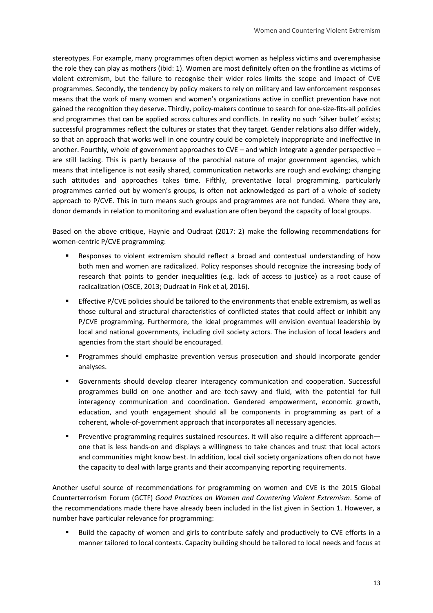stereotypes. For example, many programmes often depict women as helpless victims and overemphasise the role they can play as mothers (ibid: 1). Women are most definitely often on the frontline as victims of violent extremism, but the failure to recognise their wider roles limits the scope and impact of CVE programmes. Secondly, the tendency by policy makers to rely on military and law enforcement responses means that the work of many women and women's organizations active in conflict prevention have not gained the recognition they deserve. Thirdly, policy-makers continue to search for one-size-fits-all policies and programmes that can be applied across cultures and conflicts. In reality no such 'silver bullet' exists; successful programmes reflect the cultures or states that they target. Gender relations also differ widely, so that an approach that works well in one country could be completely inappropriate and ineffective in another. Fourthly, whole of government approaches to CVE – and which integrate a gender perspective – are still lacking. This is partly because of the parochial nature of major government agencies, which means that intelligence is not easily shared, communication networks are rough and evolving; changing such attitudes and approaches takes time. Fifthly, preventative local programming, particularly programmes carried out by women's groups, is often not acknowledged as part of a whole of society approach to P/CVE. This in turn means such groups and programmes are not funded. Where they are, donor demands in relation to monitoring and evaluation are often beyond the capacity of local groups.

Based on the above critique, Haynie and Oudraat (2017: 2) make the following recommendations for women-centric P/CVE programming:

- Responses to violent extremism should reflect a broad and contextual understanding of how both men and women are radicalized. Policy responses should recognize the increasing body of research that points to gender inequalities (e.g. lack of access to justice) as a root cause of radicalization (OSCE, 2013; Oudraat in Fink et al, 2016).
- Effective P/CVE policies should be tailored to the environments that enable extremism, as well as those cultural and structural characteristics of conflicted states that could affect or inhibit any P/CVE programming. Furthermore, the ideal programmes will envision eventual leadership by local and national governments, including civil society actors. The inclusion of local leaders and agencies from the start should be encouraged.
- **Programmes should emphasize prevention versus prosecution and should incorporate gender** analyses.
- Governments should develop clearer interagency communication and cooperation. Successful programmes build on one another and are tech-savvy and fluid, with the potential for full interagency communication and coordination. Gendered empowerment, economic growth, education, and youth engagement should all be components in programming as part of a coherent, whole-of-government approach that incorporates all necessary agencies.
- Preventive programming requires sustained resources. It will also require a different approach one that is less hands-on and displays a willingness to take chances and trust that local actors and communities might know best. In addition, local civil society organizations often do not have the capacity to deal with large grants and their accompanying reporting requirements.

Another useful source of recommendations for programming on women and CVE is the 2015 Global Counterterrorism Forum (GCTF) *Good Practices on Women and Countering Violent Extremism*. Some of the recommendations made there have already been included in the list given in Section 1. However, a number have particular relevance for programming:

 Build the capacity of women and girls to contribute safely and productively to CVE efforts in a manner tailored to local contexts. Capacity building should be tailored to local needs and focus at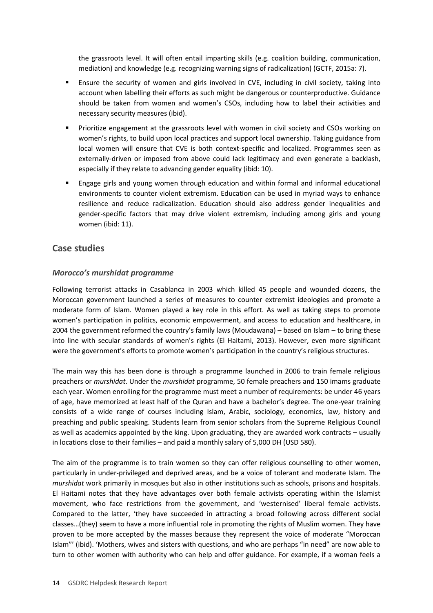the grassroots level. It will often entail imparting skills (e.g. coalition building, communication, mediation) and knowledge (e.g. recognizing warning signs of radicalization) (GCTF, 2015a: 7).

- Ensure the security of women and girls involved in CVE, including in civil society, taking into account when labelling their efforts as such might be dangerous or counterproductive. Guidance should be taken from women and women's CSOs, including how to label their activities and necessary security measures (ibid).
- **Prioritize engagement at the grassroots level with women in civil society and CSOs working on** women's rights, to build upon local practices and support local ownership. Taking guidance from local women will ensure that CVE is both context-specific and localized. Programmes seen as externally-driven or imposed from above could lack legitimacy and even generate a backlash, especially if they relate to advancing gender equality (ibid: 10).
- Engage girls and young women through education and within formal and informal educational environments to counter violent extremism. Education can be used in myriad ways to enhance resilience and reduce radicalization. Education should also address gender inequalities and gender-specific factors that may drive violent extremism, including among girls and young women (ibid: 11).

#### **Case studies**

#### *Morocco's murshidat programme*

Following terrorist attacks in Casablanca in 2003 which killed 45 people and wounded dozens, the Moroccan government launched a series of measures to counter extremist ideologies and promote a moderate form of Islam. Women played a key role in this effort. As well as taking steps to promote women's participation in politics, economic empowerment, and access to education and healthcare, in 2004 the government reformed the country's family laws (Moudawana) – based on Islam – to bring these into line with secular standards of women's rights (El Haitami, 2013). However, even more significant were the government's efforts to promote women's participation in the country's religious structures.

The main way this has been done is through a programme launched in 2006 to train female religious preachers or *murshidat*. Under the *murshidat* programme, 50 female preachers and 150 imams graduate each year. Women enrolling for the programme must meet a number of requirements: be under 46 years of age, have memorized at least half of the Quran and have a bachelor's degree. The one-year training consists of a wide range of courses including Islam, Arabic, sociology, economics, law, history and preaching and public speaking. Students learn from senior scholars from the Supreme Religious Council as well as academics appointed by the king. Upon graduating, they are awarded work contracts – usually in locations close to their families – and paid a monthly salary of 5,000 DH (USD 580).

The aim of the programme is to train women so they can offer religious counselling to other women, particularly in under-privileged and deprived areas, and be a voice of tolerant and moderate Islam. The *murshidat* work primarily in mosques but also in other institutions such as schools, prisons and hospitals. El Haitami notes that they have advantages over both female activists operating within the Islamist movement, who face restrictions from the government, and 'westernised' liberal female activists. Compared to the latter, 'they have succeeded in attracting a broad following across different social classes…(they) seem to have a more influential role in promoting the rights of Muslim women. They have proven to be more accepted by the masses because they represent the voice of moderate "Moroccan Islam"' (ibid). 'Mothers, wives and sisters with questions, and who are perhaps "in need" are now able to turn to other women with authority who can help and offer guidance. For example, if a woman feels a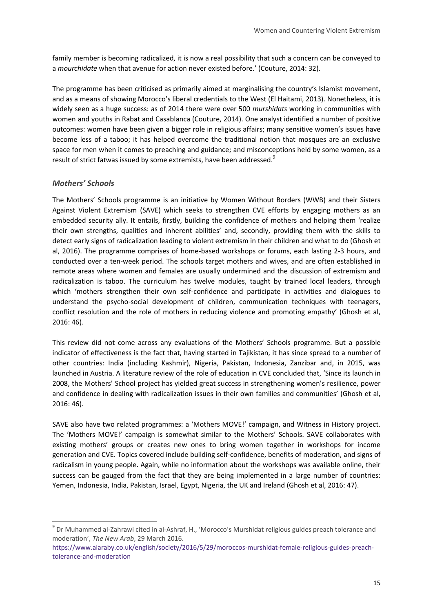family member is becoming radicalized, it is now a real possibility that such a concern can be conveyed to a *mourchidate* when that avenue for action never existed before.' (Couture, 2014: 32).

The programme has been criticised as primarily aimed at marginalising the country's Islamist movement, and as a means of showing Morocco's liberal credentials to the West (El Haitami, 2013). Nonetheless, it is widely seen as a huge success: as of 2014 there were over 500 *murshidats* working in communities with women and youths in Rabat and Casablanca (Couture, 2014). One analyst identified a number of positive outcomes: women have been given a bigger role in religious affairs; many sensitive women's issues have become less of a taboo; it has helped overcome the traditional notion that mosques are an exclusive space for men when it comes to preaching and guidance; and misconceptions held by some women, as a result of strict fatwas issued by some extremists, have been addressed.<sup>9</sup>

#### *Mothers' Schools*

-

The Mothers' Schools programme is an initiative by Women Without Borders (WWB) and their Sisters Against Violent Extremism (SAVE) which seeks to strengthen CVE efforts by engaging mothers as an embedded security ally. It entails, firstly, building the confidence of mothers and helping them 'realize their own strengths, qualities and inherent abilities' and, secondly, providing them with the skills to detect early signs of radicalization leading to violent extremism in their children and what to do (Ghosh et al, 2016). The programme comprises of home-based workshops or forums, each lasting 2-3 hours, and conducted over a ten-week period. The schools target mothers and wives, and are often established in remote areas where women and females are usually undermined and the discussion of extremism and radicalization is taboo. The curriculum has twelve modules, taught by trained local leaders, through which 'mothers strengthen their own self-confidence and participate in activities and dialogues to understand the psycho-social development of children, communication techniques with teenagers, conflict resolution and the role of mothers in reducing violence and promoting empathy' (Ghosh et al, 2016: 46).

This review did not come across any evaluations of the Mothers' Schools programme. But a possible indicator of effectiveness is the fact that, having started in Tajikistan, it has since spread to a number of other countries: India (including Kashmir), Nigeria, Pakistan, Indonesia, Zanzibar and, in 2015, was launched in Austria. A literature review of the role of education in CVE concluded that, 'Since its launch in 2008, the Mothers' School project has yielded great success in strengthening women's resilience, power and confidence in dealing with radicalization issues in their own families and communities' (Ghosh et al, 2016: 46).

SAVE also have two related programmes: a 'Mothers MOVE!' campaign, and Witness in History project. The 'Mothers MOVE!' campaign is somewhat similar to the Mothers' Schools. SAVE collaborates with existing mothers' groups or creates new ones to bring women together in workshops for income generation and CVE. Topics covered include building self-confidence, benefits of moderation, and signs of radicalism in young people. Again, while no information about the workshops was available online, their success can be gauged from the fact that they are being implemented in a large number of countries: Yemen, Indonesia, India, Pakistan, Israel, Egypt, Nigeria, the UK and Ireland (Ghosh et al, 2016: 47).

<sup>&</sup>lt;sup>9</sup> Dr Muhammed al-Zahrawi cited in al-Ashraf, H., 'Morocco's Murshidat religious guides preach tolerance and moderation', *The New Arab*, 29 March 2016.

[https://www.alaraby.co.uk/english/society/2016/5/29/moroccos-murshidat-female-religious-guides-preach](https://www.alaraby.co.uk/english/society/2016/5/29/moroccos-murshidat-female-religious-guides-preach-tolerance-and-moderation)[tolerance-and-moderation](https://www.alaraby.co.uk/english/society/2016/5/29/moroccos-murshidat-female-religious-guides-preach-tolerance-and-moderation)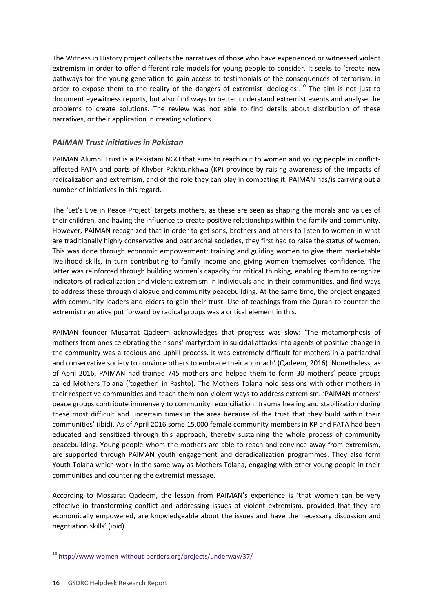The Witness in History project collects the narratives of those who have experienced or witnessed violent extremism in order to offer different role models for young people to consider. It seeks to 'create new pathways for the young generation to gain access to testimonials of the consequences of terrorism, in order to expose them to the reality of the dangers of extremist ideologies'.<sup>10</sup> The aim is not just to document eyewitness reports, but also find ways to better understand extremist events and analyse the problems to create solutions. The review was not able to find details about distribution of these narratives, or their application in creating solutions.

#### *PAIMAN Trust initiatives in Pakistan*

PAIMAN Alumni Trust is a Pakistani NGO that aims to reach out to women and young people in conflictaffected FATA and parts of Khyber Pakhtunkhwa (KP) province by raising awareness of the impacts of radicalization and extremism, and of the role they can play in combating it. PAIMAN has/is carrying out a number of initiatives in this regard.

The 'Let's Live in Peace Project' targets mothers, as these are seen as shaping the morals and values of their children, and having the influence to create positive relationships within the family and community. However, PAIMAN recognized that in order to get sons, brothers and others to listen to women in what are traditionally highly conservative and patriarchal societies, they first had to raise the status of women. This was done through economic empowerment: training and guiding women to give them marketable livelihood skills, in turn contributing to family income and giving women themselves confidence. The latter was reinforced through building women's capacity for critical thinking, enabling them to recognize indicators of radicalization and violent extremism in individuals and in their communities, and find ways to address these through dialogue and community peacebuilding. At the same time, the project engaged with community leaders and elders to gain their trust. Use of teachings from the Quran to counter the extremist narrative put forward by radical groups was a critical element in this.

PAIMAN founder Musarrat Qadeem acknowledges that progress was slow: 'The metamorphosis of mothers from ones celebrating their sons' martyrdom in suicidal attacks into agents of positive change in the community was a tedious and uphill process. It was extremely difficult for mothers in a patriarchal and conservative society to convince others to embrace their approach' (Qadeem, 2016). Nonetheless, as of April 2016, PAIMAN had trained 745 mothers and helped them to form 30 mothers' peace groups called Mothers Tolana ('together' in Pashto). The Mothers Tolana hold sessions with other mothers in their respective communities and teach them non-violent ways to address extremism. 'PAIMAN mothers' peace groups contribute immensely to community reconciliation, trauma healing and stabilization during these most difficult and uncertain times in the area because of the trust that they build within their communities' (ibid). As of April 2016 some 15,000 female community members in KP and FATA had been educated and sensitized through this approach, thereby sustaining the whole process of community peacebuilding. Young people whom the mothers are able to reach and convince away from extremism, are supported through PAIMAN youth engagement and deradicalization programmes. They also form Youth Tolana which work in the same way as Mothers Tolana, engaging with other young people in their communities and countering the extremist message.

According to Mossarat Qadeem, the lesson from PAIMAN's experience is 'that women can be very effective in transforming conflict and addressing issues of violent extremism, provided that they are economically empowered, are knowledgeable about the issues and have the necessary discussion and negotiation skills' (ibid).

<sup>-</sup><sup>10</sup> <http://www.women-without-borders.org/projects/underway/37/>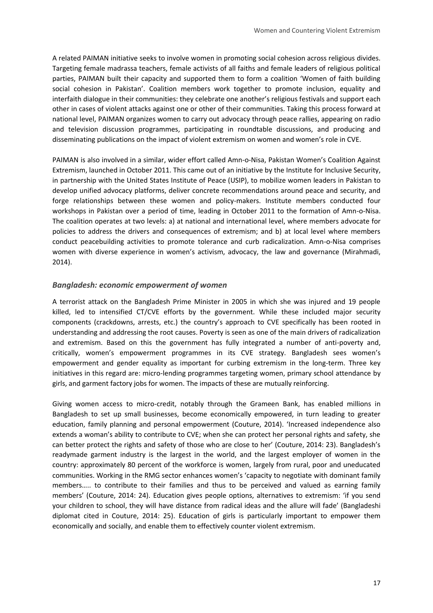A related PAIMAN initiative seeks to involve women in promoting social cohesion across religious divides. Targeting female madrassa teachers, female activists of all faiths and female leaders of religious political parties, PAIMAN built their capacity and supported them to form a coalition 'Women of faith building social cohesion in Pakistan'. Coalition members work together to promote inclusion, equality and interfaith dialogue in their communities: they celebrate one another's religious festivals and support each other in cases of violent attacks against one or other of their communities. Taking this process forward at national level, PAIMAN organizes women to carry out advocacy through peace rallies, appearing on radio and television discussion programmes, participating in roundtable discussions, and producing and disseminating publications on the impact of violent extremism on women and women's role in CVE.

PAIMAN is also involved in a similar, wider effort called Amn-o-Nisa, Pakistan Women's Coalition Against Extremism, launched in October 2011. This came out of an initiative by the Institute for Inclusive Security, in partnership with the United States Institute of Peace (USIP), to mobilize women leaders in Pakistan to develop unified advocacy platforms, deliver concrete recommendations around peace and security, and forge relationships between these women and policy-makers. Institute members conducted four workshops in Pakistan over a period of time, leading in October 2011 to the formation of Amn-o-Nisa. The coalition operates at two levels: a) at national and international level, where members advocate for policies to address the drivers and consequences of extremism; and b) at local level where members conduct peacebuilding activities to promote tolerance and curb radicalization. Amn-o-Nisa comprises women with diverse experience in women's activism, advocacy, the law and governance (Mirahmadi, 2014).

#### *Bangladesh: economic empowerment of women*

A terrorist attack on the Bangladesh Prime Minister in 2005 in which she was injured and 19 people killed, led to intensified CT/CVE efforts by the government. While these included major security components (crackdowns, arrests, etc.) the country's approach to CVE specifically has been rooted in understanding and addressing the root causes. Poverty is seen as one of the main drivers of radicalization and extremism. Based on this the government has fully integrated a number of anti-poverty and, critically, women's empowerment programmes in its CVE strategy. Bangladesh sees women's empowerment and gender equality as important for curbing extremism in the long-term. Three key initiatives in this regard are: micro-lending programmes targeting women, primary school attendance by girls, and garment factory jobs for women. The impacts of these are mutually reinforcing.

Giving women access to micro-credit, notably through the Grameen Bank, has enabled millions in Bangladesh to set up small businesses, become economically empowered, in turn leading to greater education, family planning and personal empowerment (Couture, 2014). 'Increased independence also extends a woman's ability to contribute to CVE; when she can protect her personal rights and safety, she can better protect the rights and safety of those who are close to her' (Couture, 2014: 23). Bangladesh's readymade garment industry is the largest in the world, and the largest employer of women in the country: approximately 80 percent of the workforce is women, largely from rural, poor and uneducated communities. Working in the RMG sector enhances women's 'capacity to negotiate with dominant family members….. to contribute to their families and thus to be perceived and valued as earning family members' (Couture, 2014: 24). Education gives people options, alternatives to extremism: 'if you send your children to school, they will have distance from radical ideas and the allure will fade' (Bangladeshi diplomat cited in Couture, 2014: 25). Education of girls is particularly important to empower them economically and socially, and enable them to effectively counter violent extremism.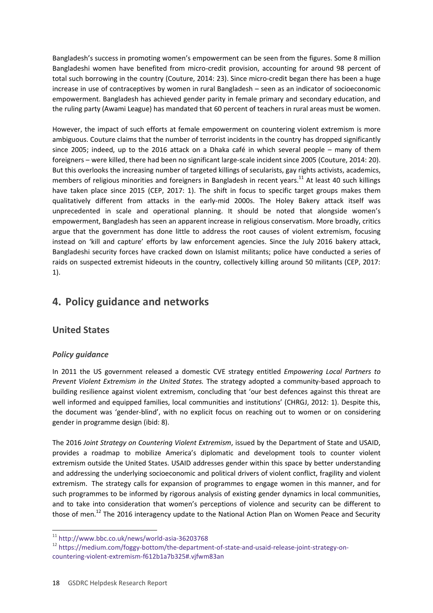Bangladesh's success in promoting women's empowerment can be seen from the figures. Some 8 million Bangladeshi women have benefited from micro-credit provision, accounting for around 98 percent of total such borrowing in the country (Couture, 2014: 23). Since micro-credit began there has been a huge increase in use of contraceptives by women in rural Bangladesh – seen as an indicator of socioeconomic empowerment. Bangladesh has achieved gender parity in female primary and secondary education, and the ruling party (Awami League) has mandated that 60 percent of teachers in rural areas must be women.

However, the impact of such efforts at female empowerment on countering violent extremism is more ambiguous. Couture claims that the number of terrorist incidents in the country has dropped significantly since 2005; indeed, up to the 2016 attack on a Dhaka café in which several people – many of them foreigners – were killed, there had been no significant large-scale incident since 2005 (Couture, 2014: 20). But this overlooks the increasing number of targeted killings of secularists, gay rights activists, academics, members of religious minorities and foreigners in Bangladesh in recent years.<sup>11</sup> At least 40 such killings have taken place since 2015 (CEP, 2017: 1). The shift in focus to specific target groups makes them qualitatively different from attacks in the early-mid 2000s. The Holey Bakery attack itself was unprecedented in scale and operational planning. It should be noted that alongside women's empowerment, Bangladesh has seen an apparent increase in religious conservatism. More broadly, critics argue that the government has done little to address the root causes of violent extremism, focusing instead on 'kill and capture' efforts by law enforcement agencies. Since the July 2016 bakery attack, Bangladeshi security forces have cracked down on Islamist militants; police have conducted a series of raids on suspected extremist hideouts in the country, collectively killing around 50 militants (CEP, 2017: 1).

# <span id="page-17-0"></span>**4. Policy guidance and networks**

### **United States**

#### *Policy guidance*

-

In 2011 the US government released a domestic CVE strategy entitled *Empowering Local Partners to Prevent Violent Extremism in the United States.* The strategy adopted a community-based approach to building resilience against violent extremism, concluding that 'our best defences against this threat are well informed and equipped families, local communities and institutions' (CHRGJ, 2012: 1). Despite this, the document was 'gender-blind', with no explicit focus on reaching out to women or on considering gender in programme design (ibid: 8).

The 2016 *Joint Strategy on Countering Violent Extremism*, issued by the Department of State and USAID, provides a roadmap to mobilize America's diplomatic and development tools to counter violent extremism outside the United States. USAID addresses gender within this space by better understanding and addressing the underlying socioeconomic and political drivers of violent conflict, fragility and violent extremism. The strategy calls for expansion of programmes to engage women in this manner, and for such programmes to be informed by rigorous analysis of existing gender dynamics in local communities, and to take into consideration that women's perceptions of violence and security can be different to those of men.<sup>12</sup> The 2016 interagency update to the National Action Plan on Women Peace and Security

 $11$  <http://www.bbc.co.uk/news/world-asia-36203768>

<sup>12</sup> [https://medium.com/foggy-bottom/the-department-of-state-and-usaid-release-joint-strategy-on](https://medium.com/foggy-bottom/the-department-of-state-and-usaid-release-joint-strategy-on-countering-violent-extremism-f612b1a7b325#.vjfwm83an)[countering-violent-extremism-f612b1a7b325#.vjfwm83an](https://medium.com/foggy-bottom/the-department-of-state-and-usaid-release-joint-strategy-on-countering-violent-extremism-f612b1a7b325#.vjfwm83an)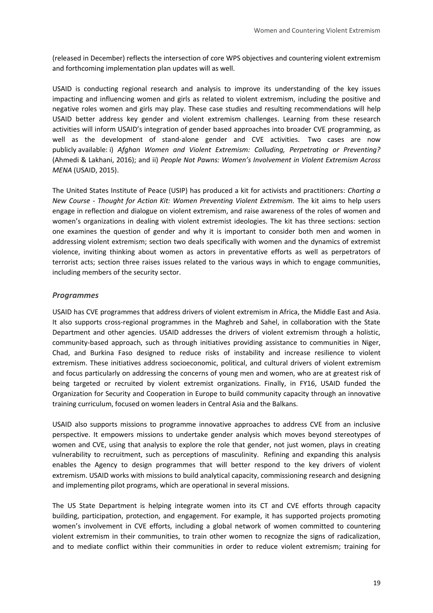(released in December) reflects the intersection of core WPS objectives and countering violent extremism and forthcoming implementation plan updates will as well.

USAID is conducting regional research and analysis to improve its understanding of the key issues impacting and influencing women and girls as related to violent extremism, including the positive and negative roles women and girls may play. These case studies and resulting recommendations will help USAID better address key gender and violent extremism challenges. Learning from these research activities will inform USAID's integration of gender based approaches into broader CVE programming, as well as the development of stand-alone gender and CVE activities. Two cases are now publicly available: i) *Afghan Women and Violent Extremism: Colluding, Perpetrating or Preventing?* (Ahmedi & Lakhani, 2016); and ii) *People Not Pawns: Women's Involvement in Violent Extremism Across MENA* (USAID, 2015).

The United States Institute of Peace (USIP) has produced a kit for activists and practitioners: *Charting a New Course - Thought for Action Kit: Women Preventing Violent Extremism.* The kit aims to help users engage in reflection and dialogue on violent extremism, and raise awareness of the roles of women and women's organizations in dealing with violent extremist ideologies. The kit has three sections: section one examines the question of gender and why it is important to consider both men and women in addressing violent extremism; section two deals specifically with women and the dynamics of extremist violence, inviting thinking about women as actors in preventative efforts as well as perpetrators of terrorist acts; section three raises issues related to the various ways in which to engage communities, including members of the security sector.

#### *Programmes*

USAID has CVE programmes that address drivers of violent extremism in Africa, the Middle East and Asia. It also supports cross-regional programmes in the Maghreb and Sahel, in collaboration with the State Department and other agencies. USAID addresses the drivers of violent extremism through a holistic, community-based approach, such as through initiatives providing assistance to communities in Niger, Chad, and Burkina Faso designed to reduce risks of instability and increase resilience to violent extremism. These initiatives address socioeconomic, political, and cultural drivers of violent extremism and focus particularly on addressing the concerns of young men and women, who are at greatest risk of being targeted or recruited by violent extremist organizations. Finally, in FY16, USAID funded the Organization for Security and Cooperation in Europe to build community capacity through an innovative training curriculum, focused on women leaders in Central Asia and the Balkans.

USAID also supports missions to programme innovative approaches to address CVE from an inclusive perspective. It empowers missions to undertake gender analysis which moves beyond stereotypes of women and CVE, using that analysis to explore the role that gender, not just women, plays in creating vulnerability to recruitment, such as perceptions of masculinity. Refining and expanding this analysis enables the Agency to design programmes that will better respond to the key drivers of violent extremism. USAID works with missions to build analytical capacity, commissioning research and designing and implementing pilot programs, which are operational in several missions.

The US State Department is helping integrate women into its CT and CVE efforts through capacity building, participation, protection, and engagement. For example, it has supported projects promoting women's involvement in CVE efforts, including a global network of women committed to countering violent extremism in their communities, to train other women to recognize the signs of radicalization, and to mediate conflict within their communities in order to reduce violent extremism; training for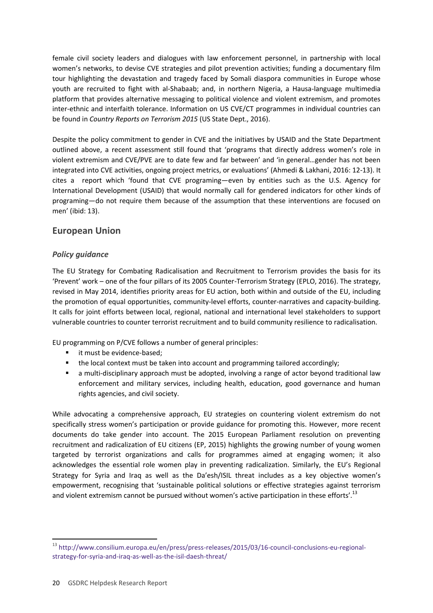female civil society leaders and dialogues with law enforcement personnel, in partnership with local women's networks, to devise CVE strategies and pilot prevention activities; funding a documentary film tour highlighting the devastation and tragedy faced by Somali diaspora communities in Europe whose youth are recruited to fight with al-Shabaab; and, in northern Nigeria, a Hausa-language multimedia platform that provides alternative messaging to political violence and violent extremism, and promotes inter-ethnic and interfaith tolerance. Information on US CVE/CT programmes in individual countries can be found in *Country Reports on Terrorism 2015* (US State Dept., 2016).

Despite the policy commitment to gender in CVE and the initiatives by USAID and the State Department outlined above, a recent assessment still found that 'programs that directly address women's role in violent extremism and CVE/PVE are to date few and far between' and 'in general…gender has not been integrated into CVE activities, ongoing project metrics, or evaluations' (Ahmedi & Lakhani, 2016: 12-13). It cites a report which 'found that CVE programing—even by entities such as the U.S. Agency for International Development (USAID) that would normally call for gendered indicators for other kinds of programing—do not require them because of the assumption that these interventions are focused on men' (ibid: 13).

### **European Union**

#### *Policy guidance*

The EU Strategy for Combating Radicalisation and Recruitment to Terrorism provides the basis for its 'Prevent' work – one of the four pillars of its 2005 Counter-Terrorism Strategy (EPLO, 2016). The strategy, revised in May 2014, identifies priority areas for EU action, both within and outside of the EU, including the promotion of equal opportunities, community-level efforts, counter-narratives and capacity-building. It calls for joint efforts between local, regional, national and international level stakeholders to support vulnerable countries to counter terrorist recruitment and to build community resilience to radicalisation.

EU programming on P/CVE follows a number of general principles:

- it must be evidence-based;
- the local context must be taken into account and programming tailored accordingly;
- a multi-disciplinary approach must be adopted, involving a range of actor beyond traditional law enforcement and military services, including health, education, good governance and human rights agencies, and civil society.

While advocating a comprehensive approach, EU strategies on countering violent extremism do not specifically stress women's participation or provide guidance for promoting this. However, more recent documents do take gender into account. The 2015 European Parliament resolution on preventing recruitment and radicalization of EU citizens (EP, 2015) highlights the growing number of young women targeted by terrorist organizations and calls for programmes aimed at engaging women; it also acknowledges the essential role women play in preventing radicalization. Similarly, the EU's Regional Strategy for Syria and Iraq as well as the Da'esh/ISIL threat includes as a key objective women's empowerment, recognising that 'sustainable political solutions or effective strategies against terrorism and violent extremism cannot be pursued without women's active participation in these efforts'.<sup>13</sup>

-

<sup>13</sup> [http://www.consilium.europa.eu/en/press/press-releases/2015/03/16-council-conclusions-eu-regional](http://www.consilium.europa.eu/en/press/press-releases/2015/03/16-council-conclusions-eu-regional-strategy-for-syria-and-iraq-as-well-as-the-isil-daesh-threat/)[strategy-for-syria-and-iraq-as-well-as-the-isil-daesh-threat/](http://www.consilium.europa.eu/en/press/press-releases/2015/03/16-council-conclusions-eu-regional-strategy-for-syria-and-iraq-as-well-as-the-isil-daesh-threat/)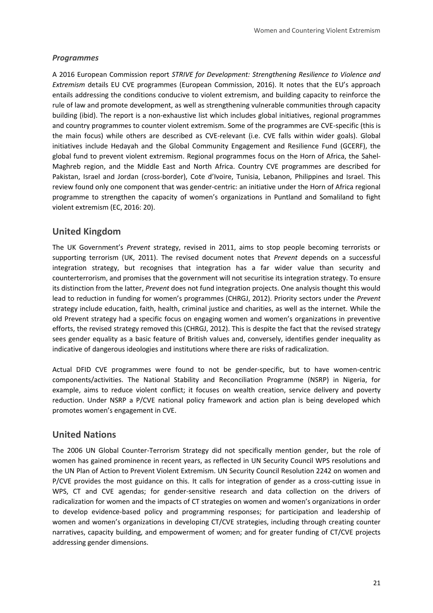#### *Programmes*

A 2016 European Commission report *STRIVE for Development: Strengthening Resilience to Violence and Extremism* details EU CVE programmes (European Commission, 2016). It notes that the EU's approach entails addressing the conditions conducive to violent extremism, and building capacity to reinforce the rule of law and promote development, as well as strengthening vulnerable communities through capacity building (ibid). The report is a non-exhaustive list which includes global initiatives, regional programmes and country programmes to counter violent extremism. Some of the programmes are CVE-specific (this is the main focus) while others are described as CVE-relevant (i.e. CVE falls within wider goals). Global initiatives include Hedayah and the Global Community Engagement and Resilience Fund (GCERF), the global fund to prevent violent extremism. Regional programmes focus on the Horn of Africa, the Sahel-Maghreb region, and the Middle East and North Africa. Country CVE programmes are described for Pakistan, Israel and Jordan (cross-border), Cote d'Ivoire, Tunisia, Lebanon, Philippines and Israel. This review found only one component that was gender-centric: an initiative under the Horn of Africa regional programme to strengthen the capacity of women's organizations in Puntland and Somaliland to fight violent extremism (EC, 2016: 20).

### **United Kingdom**

The UK Government's *Prevent* strategy, revised in 2011, aims to stop people becoming terrorists or supporting terrorism (UK, 2011). The revised document notes that *Prevent* depends on a successful integration strategy, but recognises that integration has a far wider value than security and counterterrorism, and promises that the government will not securitise its integration strategy. To ensure its distinction from the latter, *Prevent* does not fund integration projects. One analysis thought this would lead to reduction in funding for women's programmes (CHRGJ, 2012). Priority sectors under the *Prevent*  strategy include education, faith, health, criminal justice and charities, as well as the internet. While the old Prevent strategy had a specific focus on engaging women and women's organizations in preventive efforts, the revised strategy removed this (CHRGJ, 2012). This is despite the fact that the revised strategy sees gender equality as a basic feature of British values and, conversely, identifies gender inequality as indicative of dangerous ideologies and institutions where there are risks of radicalization.

Actual DFID CVE programmes were found to not be gender-specific, but to have women-centric components/activities. The National Stability and Reconciliation Programme (NSRP) in Nigeria, for example, aims to reduce violent conflict; it focuses on wealth creation, service delivery and poverty reduction. Under NSRP a P/CVE national policy framework and action plan is being developed which promotes women's engagement in CVE.

#### **United Nations**

The 2006 UN Global Counter-Terrorism Strategy did not specifically mention gender, but the role of women has gained prominence in recent years, as reflected in UN Security Council WPS resolutions and the UN Plan of Action to Prevent Violent Extremism. UN Security Council Resolution 2242 on women and P/CVE provides the most guidance on this. It calls for integration of gender as a cross-cutting issue in WPS, CT and CVE agendas; for gender-sensitive research and data collection on the drivers of radicalization for women and the impacts of CT strategies on women and women's organizations in order to develop evidence-based policy and programming responses; for participation and leadership of women and women's organizations in developing CT/CVE strategies, including through creating counter narratives, capacity building, and empowerment of women; and for greater funding of CT/CVE projects addressing gender dimensions.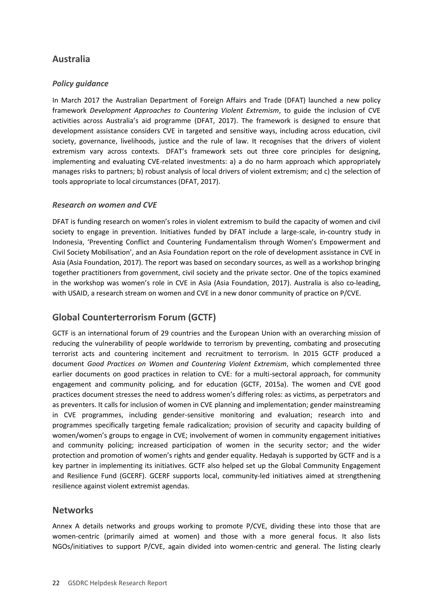# **Australia**

#### *Policy guidance*

In March 2017 the Australian Department of Foreign Affairs and Trade (DFAT) launched a new policy framework *Development Approaches to Countering Violent Extremism*, to guide the inclusion of CVE activities across Australia's aid programme (DFAT, 2017). The framework is designed to ensure that development assistance considers CVE in targeted and sensitive ways, including across education, civil society, governance, livelihoods, justice and the rule of law. It recognises that the drivers of violent extremism vary across contexts. DFAT's framework sets out three core principles for designing, implementing and evaluating CVE-related investments: a) a do no harm approach which appropriately manages risks to partners; b) robust analysis of local drivers of violent extremism; and c) the selection of tools appropriate to local circumstances (DFAT, 2017).

#### *Research on women and CVE*

DFAT is funding research on women's roles in violent extremism to build the capacity of women and civil society to engage in prevention. Initiatives funded by DFAT include a large-scale, in-country study in Indonesia, 'Preventing Conflict and Countering Fundamentalism through Women's Empowerment and Civil Society Mobilisation', and an Asia Foundation report on the role of development assistance in CVE in Asia (Asia Foundation, 2017). The report was based on secondary sources, as well as a workshop bringing together practitioners from government, civil society and the private sector. One of the topics examined in the workshop was women's role in CVE in Asia (Asia Foundation, 2017). Australia is also co-leading, with USAID, a research stream on women and CVE in a new donor community of practice on P/CVE.

# **Global Counterterrorism Forum (GCTF)**

GCTF is an international forum of 29 countries and the European Union with an overarching mission of reducing the vulnerability of people worldwide to terrorism by preventing, combating and prosecuting terrorist acts and countering incitement and recruitment to terrorism. In 2015 GCTF produced a document *Good Practices on Women and Countering Violent Extremism*, which complemented three earlier documents on good practices in relation to CVE: for a multi-sectoral approach, for community engagement and community policing, and for education (GCTF, 2015a). The women and CVE good practices document stresses the need to address women's differing roles: as victims, as perpetrators and as preventers. It calls for inclusion of women in CVE planning and implementation; gender mainstreaming in CVE programmes, including gender-sensitive monitoring and evaluation; research into and programmes specifically targeting female radicalization; provision of security and capacity building of women/women's groups to engage in CVE; involvement of women in community engagement initiatives and community policing; increased participation of women in the security sector; and the wider protection and promotion of women's rights and gender equality. Hedayah is supported by GCTF and is a key partner in implementing its initiatives. GCTF also helped set up the Global Community Engagement and Resilience Fund (GCERF). GCERF supports local, community-led initiatives aimed at strengthening resilience against violent extremist agendas.

#### **Networks**

Annex A details networks and groups working to promote P/CVE, dividing these into those that are women-centric (primarily aimed at women) and those with a more general focus. It also lists NGOs/initiatives to support P/CVE, again divided into women-centric and general. The listing clearly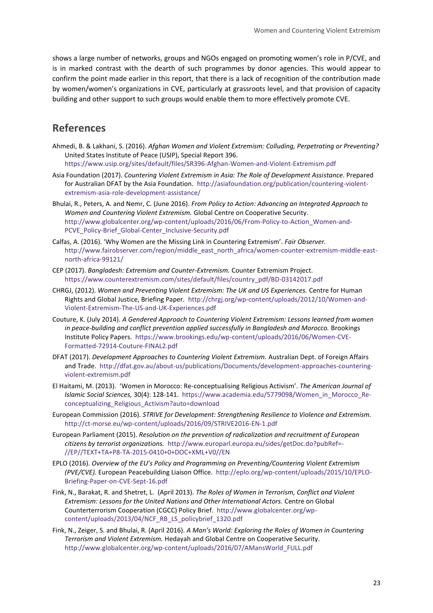shows a large number of networks, groups and NGOs engaged on promoting women's role in P/CVE, and is in marked contrast with the dearth of such programmes by donor agencies. This would appear to confirm the point made earlier in this report, that there is a lack of recognition of the contribution made by women/women's organizations in CVE, particularly at grassroots level, and that provision of capacity building and other support to such groups would enable them to more effectively promote CVE.

# <span id="page-22-0"></span>**References**

Ahmedi, B. & Lakhani, S. (2016). *Afghan Women and Violent Extremism: Colluding, Perpetrating or Preventing?*  United States Institute of Peace (USIP), Special Report 396.

<https://www.usip.org/sites/default/files/SR396-Afghan-Women-and-Violent-Extremism.pdf>

- Asia Foundation (2017). *Countering Violent Extremism in Asia: The Role of Development Assistance*. Prepared for Australian DFAT by the Asia Foundation. [http://asiafoundation.org/publication/countering-violent](http://asiafoundation.org/publication/countering-violent-extremism-asia-role-development-assistance/)[extremism-asia-role-development-assistance/](http://asiafoundation.org/publication/countering-violent-extremism-asia-role-development-assistance/)
- Bhulai, R., Peters, A. and Nemr, C. (June 2016). *From Policy to Action: Advancing an Integrated Approach to Women and Countering Violent Extremism.* Global Centre on Cooperative Security. [http://www.globalcenter.org/wp-content/uploads/2016/06/From-Policy-to-Action\\_Women-and-](http://www.globalcenter.org/wp-content/uploads/2016/06/From-Policy-to-Action_Women-and-PCVE_Policy-Brief_Global-Center_Inclusive-Security.pdf)PCVE\_Policy-Brief\_Global-Center\_Inclusive-Security.pdf
- Calfas, A. (2016). 'Why Women are the Missing Link in Countering Extremism'. *Fair Observer.*  [http://www.fairobserver.com/region/middle\\_east\\_north\\_africa/women-counter-extremism-middle-east](http://www.fairobserver.com/region/middle_east_north_africa/women-counter-extremism-middle-east-north-africa-99121/)[north-africa-99121/](http://www.fairobserver.com/region/middle_east_north_africa/women-counter-extremism-middle-east-north-africa-99121/)
- CEP (2017). *Bangladesh: Extremism and Counter-Extremism.* Counter Extremism Project. [https://www.counterextremism.com/sites/default/files/country\\_pdf/BD-03142017.pdf](https://www.counterextremism.com/sites/default/files/country_pdf/BD-03142017.pdf)
- CHRGJ, (2012). *Women and Preventing Violent Extremism: The UK and US Experiences.* Centre for Human Rights and Global Justice, Briefing Paper. [http://chrgj.org/wp-content/uploads/2012/10/Women-and-](http://chrgj.org/wp-content/uploads/2012/10/Women-and-Violent-Extremism-The-US-and-UK-Experiences.pdf)[Violent-Extremism-The-US-and-UK-Experiences.pdf](http://chrgj.org/wp-content/uploads/2012/10/Women-and-Violent-Extremism-The-US-and-UK-Experiences.pdf)
- Couture, K. (July 2014). *A Gendered Approach to Countering Violent Extremism: Lessons learned from women*  in peace-building and conflict prevention applied successfully in Bangladesh and Morocco. Brookings Institute Policy Papers. [https://www.brookings.edu/wp-content/uploads/2016/06/Women-CVE-](https://www.brookings.edu/wp-content/uploads/2016/06/Women-CVE-Formatted-72914-Couture-FINAL2.pdf)[Formatted-72914-Couture-FINAL2.pdf](https://www.brookings.edu/wp-content/uploads/2016/06/Women-CVE-Formatted-72914-Couture-FINAL2.pdf)
- DFAT (2017). *Development Approaches to Countering Violent Extremism.* Australian Dept. of Foreign Affairs and Trade. [http://dfat.gov.au/about-us/publications/Documents/development-approaches-countering](http://dfat.gov.au/about-us/publications/Documents/development-approaches-countering-violent-extremism.pdf)[violent-extremism.pdf](http://dfat.gov.au/about-us/publications/Documents/development-approaches-countering-violent-extremism.pdf)
- El Haitami, M. (2013). 'Women in Morocco: Re-conceptualising Religious Activism'. *The American Journal of Islamic Social Sciences,* 30(4): 128-141. [https://www.academia.edu/5779098/Women\\_in\\_Morocco\\_Re](https://www.academia.edu/5779098/Women_in_Morocco_Re-conceptualizing_Religious_Activism?auto=download)[conceptualizing\\_Religious\\_Activism?auto=download](https://www.academia.edu/5779098/Women_in_Morocco_Re-conceptualizing_Religious_Activism?auto=download)
- European Commission (2016). *STRIVE for Development: Strengthening Resilience to Violence and Extremism.*  <http://ct-morse.eu/wp-content/uploads/2016/09/STRIVE2016-EN-1.pdf>
- European Parliament (2015). *Resolution on the prevention of radicalization and recruitment of European citizens by terrorist organizations.* [http://www.europarl.europa.eu/sides/getDoc.do?pubRef=-](http://www.europarl.europa.eu/sides/getDoc.do?pubRef=-//EP//TEXT+TA+P8-TA-2015-0410+0+DOC+XML+V0//EN) [//EP//TEXT+TA+P8-TA-2015-0410+0+DOC+XML+V0//EN](http://www.europarl.europa.eu/sides/getDoc.do?pubRef=-//EP//TEXT+TA+P8-TA-2015-0410+0+DOC+XML+V0//EN)
- EPLO (2016). *Overview of the EU's Policy and Programming on Preventing/Countering Violent Extremism (PVE/CVE).* European Peacebuilding Liaison Office. [http://eplo.org/wp-content/uploads/2015/10/EPLO-](http://eplo.org/wp-content/uploads/2015/10/EPLO-Briefing-Paper-on-CVE-Sept-16.pdf)[Briefing-Paper-on-CVE-Sept-16.pdf](http://eplo.org/wp-content/uploads/2015/10/EPLO-Briefing-Paper-on-CVE-Sept-16.pdf)
- Fink, N., Barakat, R. and Shetret, L. (April 2013). *The Roles of Women in Terrorism, Conflict and Violent Extremism: Lessons for the United Nations and Other International Actors.* Centre on Global Counterterrorism Cooperation (CGCC) Policy Brief. [http://www.globalcenter.org/wp](http://www.globalcenter.org/wp-content/uploads/2013/04/NCF_RB_LS_policybrief_1320.pdf)[content/uploads/2013/04/NCF\\_RB\\_LS\\_policybrief\\_1320.pdf](http://www.globalcenter.org/wp-content/uploads/2013/04/NCF_RB_LS_policybrief_1320.pdf)
- Fink, N., Zeiger, S. and Bhulai, R. (April 2016). *A Man's World: Exploring the Roles of Women in Countering Terrorism and Violent Extremism.* Hedayah and Global Centre on Cooperative Security. [http://www.globalcenter.org/wp-content/uploads/2016/07/AMansWorld\\_FULL.pdf](http://www.globalcenter.org/wp-content/uploads/2016/07/AMansWorld_FULL.pdf)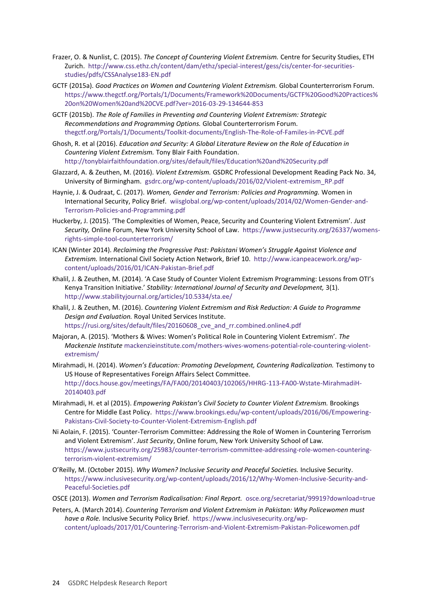- Frazer, O. & Nunlist, C. (2015). *The Concept of Countering Violent Extremism.* Centre for Security Studies, ETH Zurich. [http://www.css.ethz.ch/content/dam/ethz/special-interest/gess/cis/center-for-securities](http://www.css.ethz.ch/content/dam/ethz/special-interest/gess/cis/center-for-securities-studies/pdfs/CSSAnalyse183-EN.pdf)[studies/pdfs/CSSAnalyse183-EN.pdf](http://www.css.ethz.ch/content/dam/ethz/special-interest/gess/cis/center-for-securities-studies/pdfs/CSSAnalyse183-EN.pdf)
- GCTF (2015a). *Good Practices on Women and Countering Violent Extremism.* Global Counterterrorism Forum. [https://www.thegctf.org/Portals/1/Documents/Framework%20Documents/GCTF%20Good%20Practices%](https://www.thegctf.org/Portals/1/Documents/Framework%20Documents/GCTF%20Good%20Practices%20on%20Women%20and%20CVE.pdf?ver=2016-03-29-134644-853) [20on%20Women%20and%20CVE.pdf?ver=2016-03-29-134644-853](https://www.thegctf.org/Portals/1/Documents/Framework%20Documents/GCTF%20Good%20Practices%20on%20Women%20and%20CVE.pdf?ver=2016-03-29-134644-853)
- GCTF (2015b). *The Role of Families in Preventing and Countering Violent Extremism: Strategic Recommendations and Programming Options.* Global Counterterrorism Forum. [thegctf.org/Portals/1/Documents/Toolkit-documents/English-The-Role-of-Familes-in-PCVE.pdf](https://www.thegctf.org/Portals/1/Documents/Toolkit-documents/English-The-Role-of-Familes-in-PCVE.pdf)
- Ghosh, R. et al (2016). *Education and Security: A Global Literature Review on the Role of Education in Countering Violent Extremism.* Tony Blair Faith Foundation. <http://tonyblairfaithfoundation.org/sites/default/files/Education%20and%20Security.pdf>
- Glazzard, A. & Zeuthen, M. (2016). *Violent Extremism.* GSDRC Professional Development Reading Pack No. 34, University of Birmingham. [gsdrc.org/wp-content/uploads/2016/02/Violent-extremism\\_RP.pdf](http://www.gsdrc.org/wp-content/uploads/2016/02/Violent-extremism_RP.pdf)
- Haynie, J. & Oudraat, C. (2017). *Women, Gender and Terrorism: Policies and Programming.* Women in International Security, Policy Brief. [wiisglobal.org/wp-content/uploads/2014/02/Women-Gender-and-](http://wiisglobal.org/wp-content/uploads/2014/02/Women-Gender-and-Terrorism-Policies-and-Programming.pdf)[Terrorism-Policies-and-Programming.pdf](http://wiisglobal.org/wp-content/uploads/2014/02/Women-Gender-and-Terrorism-Policies-and-Programming.pdf)
- Huckerby, J. (2015). 'The Complexities of Women, Peace, Security and Countering Violent Extremism'. *Just Security,* Online Forum, New York University School of Law. [https://www.justsecurity.org/26337/womens](https://www.justsecurity.org/26337/womens-rights-simple-tool-counterterrorism/)[rights-simple-tool-counterterrorism/](https://www.justsecurity.org/26337/womens-rights-simple-tool-counterterrorism/)
- ICAN (Winter 2014). *Reclaiming the Progressive Past: Pakistani Women's Struggle Against Violence and Extremism.* International Civil Society Action Network, Brief 10. [http://www.icanpeacework.org/wp](http://www.icanpeacework.org/wp-content/uploads/2016/01/ICAN-Pakistan-Brief.pdf)[content/uploads/2016/01/ICAN-Pakistan-Brief.pdf](http://www.icanpeacework.org/wp-content/uploads/2016/01/ICAN-Pakistan-Brief.pdf)
- Khalil, J. & Zeuthen, M. (2014). 'A Case Study of Counter Violent Extremism Programming: Lessons from OTI's Kenya Transition Initiative.' *Stability: International Journal of Security and Development,* 3(1). <http://www.stabilityjournal.org/articles/10.5334/sta.ee/>
- Khalil, J. & Zeuthen, M. (2016). *Countering Violent Extremism and Risk Reduction: A Guide to Programme Design and Evaluation.* Royal United Services Institute. [https://rusi.org/sites/default/files/20160608\\_cve\\_and\\_rr.combined.online4.pdf](https://rusi.org/sites/default/files/20160608_cve_and_rr.combined.online4.pdf)
- Majoran, A. (2015). 'Mothers & Wives: Women's Political Role in Countering Violent Extremism'. *The Mackenzie Institute* [mackenzieinstitute.com/mothers-wives-womens-potential-role-countering-violent](http://mackenzieinstitute.com/mothers-wives-womens-potential-role-countering-violent-extremism/)[extremism/](http://mackenzieinstitute.com/mothers-wives-womens-potential-role-countering-violent-extremism/)
- Mirahmadi, H. (2014). *Women's Education: Promoting Development, Countering Radicalization.* Testimony to US House of Representatives Foreign Affairs Select Committee. [http://docs.house.gov/meetings/FA/FA00/20140403/102065/HHRG-113-FA00-Wstate-MirahmadiH-](http://docs.house.gov/meetings/FA/FA00/20140403/102065/HHRG-113-FA00-Wstate-MirahmadiH-20140403.pdf)[20140403.pdf](http://docs.house.gov/meetings/FA/FA00/20140403/102065/HHRG-113-FA00-Wstate-MirahmadiH-20140403.pdf)
- Mirahmadi, H. et al (2015). *Empowering Pakistan's Civil Society to Counter Violent Extremism.* Brookings Centre for Middle East Policy. [https://www.brookings.edu/wp-content/uploads/2016/06/Empowering-](https://www.brookings.edu/wp-content/uploads/2016/06/Empowering-Pakistans-Civil-Society-to-Counter-Violent-Extremism-English.pdf)[Pakistans-Civil-Society-to-Counter-Violent-Extremism-English.pdf](https://www.brookings.edu/wp-content/uploads/2016/06/Empowering-Pakistans-Civil-Society-to-Counter-Violent-Extremism-English.pdf)
- Ni Aolain, F. (2015). 'Counter-Terrorism Committee: Addressing the Role of Women in Countering Terrorism and Violent Extremism'. *Just Security*, Online forum, New York University School of Law*.*  [https://www.justsecurity.org/25983/counter-terrorism-committee-addressing-role-women-countering](https://www.justsecurity.org/25983/counter-terrorism-committee-addressing-role-women-countering-terrorism-violent-extremism/)[terrorism-violent-extremism/](https://www.justsecurity.org/25983/counter-terrorism-committee-addressing-role-women-countering-terrorism-violent-extremism/)
- O'Reilly, M. (October 2015). *Why Women? Inclusive Security and Peaceful Societies.* Inclusive Security. [https://www.inclusivesecurity.org/wp-content/uploads/2016/12/Why-Women-Inclusive-Security-and-](https://www.inclusivesecurity.org/wp-content/uploads/2016/12/Why-Women-Inclusive-Security-and-Peaceful-Societies.pdf)[Peaceful-Societies.pdf](https://www.inclusivesecurity.org/wp-content/uploads/2016/12/Why-Women-Inclusive-Security-and-Peaceful-Societies.pdf)
- OSCE (2013). *Women and Terrorism Radicalisation: Final Report.* [osce.org/secretariat/99919?download=true](http://www.osce.org/secretariat/99919?download=true)
- Peters, A. (March 2014). *Countering Terrorism and Violent Extremism in Pakistan: Why Policewomen must have a Role.* Inclusive Security Policy Brief. [https://www.inclusivesecurity.org/wp](https://www.inclusivesecurity.org/wp-content/uploads/2017/01/Countering-Terrorism-and-Violent-Extremism-Pakistan-Policewomen.pdf)[content/uploads/2017/01/Countering-Terrorism-and-Violent-Extremism-Pakistan-Policewomen.pdf](https://www.inclusivesecurity.org/wp-content/uploads/2017/01/Countering-Terrorism-and-Violent-Extremism-Pakistan-Policewomen.pdf)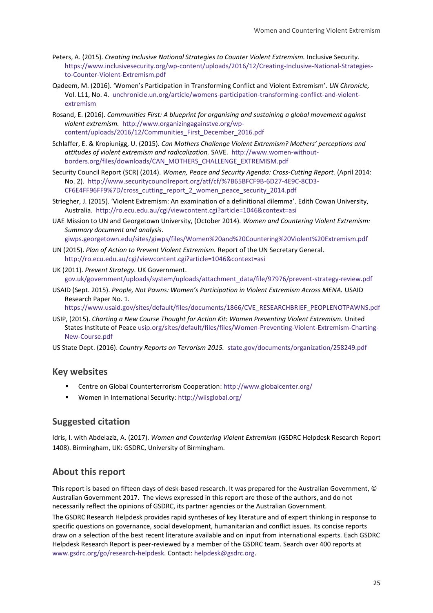- Peters, A. (2015). *Creating Inclusive National Strategies to Counter Violent Extremism.* Inclusive Security. [https://www.inclusivesecurity.org/wp-content/uploads/2016/12/Creating-Inclusive-National-Strategies](https://www.inclusivesecurity.org/wp-content/uploads/2016/12/Creating-Inclusive-National-Strategies-to-Counter-Violent-Extremism.pdf)[to-Counter-Violent-Extremism.pdf](https://www.inclusivesecurity.org/wp-content/uploads/2016/12/Creating-Inclusive-National-Strategies-to-Counter-Violent-Extremism.pdf)
- Qadeem, M. (2016). 'Women's Participation in Transforming Conflict and Violent Extremism'. *UN Chronicle,*  Vol. L11, No. 4. [unchronicle.un.org/article/womens-participation-transforming-conflict-and-violent](https://unchronicle.un.org/article/womens-participation-transforming-conflict-and-violent-extremism)[extremism](https://unchronicle.un.org/article/womens-participation-transforming-conflict-and-violent-extremism)
- Rosand, E. (2016). *Communities First: A blueprint for organising and sustaining a global movement against violent extremism.* [http://www.organizingagainstve.org/wp](http://www.organizingagainstve.org/wp-content/uploads/2016/12/Communities_First_December_2016.pdf)[content/uploads/2016/12/Communities\\_First\\_December\\_2016.pdf](http://www.organizingagainstve.org/wp-content/uploads/2016/12/Communities_First_December_2016.pdf)
- Schlaffer, E. & Kropiunigg, U. (2015). *Can Mothers Challenge Violent Extremism? Mothers' perceptions and attitudes of violent extremism and radicalization.* SAVE. [http://www.women-without](http://www.women-without-borders.org/files/downloads/CAN_MOTHERS_CHALLENGE_EXTREMISM.pdf)[borders.org/files/downloads/CAN\\_MOTHERS\\_CHALLENGE\\_EXTREMISM.pdf](http://www.women-without-borders.org/files/downloads/CAN_MOTHERS_CHALLENGE_EXTREMISM.pdf)
- Security Council Report (SCR) (2014). *Women, Peace and Security Agenda: Cross-Cutting Report.* (April 2014: No. 2). [http://www.securitycouncilreport.org/atf/cf/%7B65BFCF9B-6D27-4E9C-8CD3-](http://www.securitycouncilreport.org/atf/cf/%7B65BFCF9B-6D27-4E9C-8CD3-CF6E4FF96FF9%7D/cross_cutting_report_2_women_peace_security_2014.pdf) [CF6E4FF96FF9%7D/cross\\_cutting\\_report\\_2\\_women\\_peace\\_security\\_2014.pdf](http://www.securitycouncilreport.org/atf/cf/%7B65BFCF9B-6D27-4E9C-8CD3-CF6E4FF96FF9%7D/cross_cutting_report_2_women_peace_security_2014.pdf)
- Striegher, J. (2015). 'Violent Extremism: An examination of a definitional dilemma'. Edith Cowan University, Australia. <http://ro.ecu.edu.au/cgi/viewcontent.cgi?article=1046&context=asi>
- UAE Mission to UN and Georgetown University, (October 2014). *Women and Countering Violent Extremism: Summary document and analysis.*

[giwps.georgetown.edu/sites/giwps/files/Women%20and%20Countering%20Violent%20Extremism.pdf](https://giwps.georgetown.edu/sites/giwps/files/Women%20and%20Countering%20Violent%20Extremism.pdf)

- UN (2015). *Plan of Action to Prevent Violent Extremism.* Report of the UN Secretary General. <http://ro.ecu.edu.au/cgi/viewcontent.cgi?article=1046&context=asi>
- UK (2011). *Prevent Strategy.* UK Government. [gov.uk/government/uploads/system/uploads/attachment\\_data/file/97976/prevent-strategy-review.pdf](https://www.gov.uk/government/uploads/system/uploads/attachment_data/file/97976/prevent-strategy-review.pdf)
- USAID (Sept. 2015). *People, Not Pawns: Women's Participation in Violent Extremism Across MENA.* USAID Research Paper No. 1.

[https://www.usaid.gov/sites/default/files/documents/1866/CVE\\_RESEARCHBRIEF\\_PEOPLENOTPAWNS.pdf](https://www.usaid.gov/sites/default/files/documents/1866/CVE_RESEARCHBRIEF_PEOPLENOTPAWNS.pdf)

USIP, (2015). *Charting a New Course Thought for Action Kit: Women Preventing Violent Extremism.* United States Institute of Peace [usip.org/sites/default/files/files/Women-Preventing-Violent-Extremism-Charting-](http://www.usip.org/sites/default/files/files/Women-Preventing-Violent-Extremism-Charting-New-Course.pdf)[New-Course.pdf](http://www.usip.org/sites/default/files/files/Women-Preventing-Violent-Extremism-Charting-New-Course.pdf)

US State Dept. (2016). *Country Reports on Terrorism 2015.* [state.gov/documents/organization/258249.pdf](https://www.state.gov/documents/organization/258249.pdf)

#### **Key websites**

- Centre on Global Counterterrorism Cooperation[: http://www.globalcenter.org/](http://www.globalcenter.org/)
- Women in International Security: <http://wiisglobal.org/>

#### **Suggested citation**

Idris, I. with Abdelaziz, A. (2017). *Women and Countering Violent Extremism* (GSDRC Helpdesk Research Report 1408). Birmingham, UK: GSDRC, University of Birmingham.

#### **About this report**

This report is based on fifteen days of desk-based research. It was prepared for the Australian Government, © Australian Government 2017. The views expressed in this report are those of the authors, and do not necessarily reflect the opinions of GSDRC, its partner agencies or the Australian Government.

The GSDRC Research Helpdesk provides rapid syntheses of key literature and of expert thinking in response to specific questions on governance, social development, humanitarian and conflict issues. Its concise reports draw on a selection of the best recent literature available and on input from international experts. Each GSDRC Helpdesk Research Report is peer-reviewed by a member of the GSDRC team. Search over 400 reports at [www.gsdrc.org/go/research-helpdesk.](http://www.gsdrc.org/go/research-helpdesk) Contact: [helpdesk@gsdrc.org](mailto:helpdesk@gsdrc.org).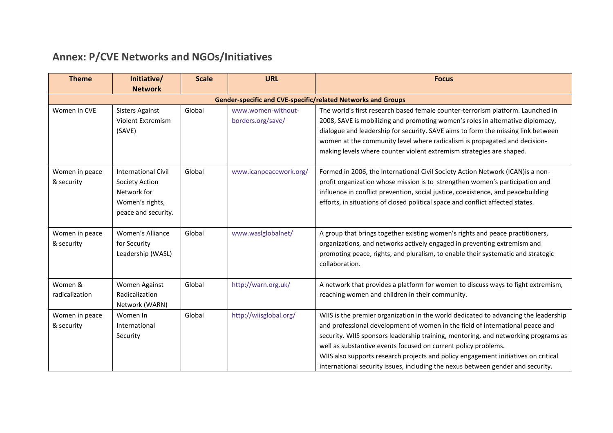# **Annex: P/CVE Networks and NGOs/Initiatives**

| <b>Theme</b>                 | Initiative/                                                                                           | <b>Scale</b> | <b>URL</b>                              | <b>Focus</b>                                                                                                                                                                                                                                                                                                                                                                                                                                                                                          |
|------------------------------|-------------------------------------------------------------------------------------------------------|--------------|-----------------------------------------|-------------------------------------------------------------------------------------------------------------------------------------------------------------------------------------------------------------------------------------------------------------------------------------------------------------------------------------------------------------------------------------------------------------------------------------------------------------------------------------------------------|
|                              | <b>Network</b>                                                                                        |              |                                         |                                                                                                                                                                                                                                                                                                                                                                                                                                                                                                       |
|                              |                                                                                                       |              |                                         | <b>Gender-specific and CVE-specific/related Networks and Groups</b>                                                                                                                                                                                                                                                                                                                                                                                                                                   |
| Women in CVE                 | <b>Sisters Against</b><br>Violent Extremism<br>(SAVE)                                                 | Global       | www.women-without-<br>borders.org/save/ | The world's first research based female counter-terrorism platform. Launched in<br>2008, SAVE is mobilizing and promoting women's roles in alternative diplomacy,<br>dialogue and leadership for security. SAVE aims to form the missing link between<br>women at the community level where radicalism is propagated and decision-<br>making levels where counter violent extremism strategies are shaped.                                                                                            |
| Women in peace<br>& security | <b>International Civil</b><br>Society Action<br>Network for<br>Women's rights,<br>peace and security. | Global       | www.icanpeacework.org/                  | Formed in 2006, the International Civil Society Action Network (ICAN) is a non-<br>profit organization whose mission is to strengthen women's participation and<br>influence in conflict prevention, social justice, coexistence, and peacebuilding<br>efforts, in situations of closed political space and conflict affected states.                                                                                                                                                                 |
| Women in peace<br>& security | Women's Alliance<br>for Security<br>Leadership (WASL)                                                 | Global       | www.waslglobalnet/                      | A group that brings together existing women's rights and peace practitioners,<br>organizations, and networks actively engaged in preventing extremism and<br>promoting peace, rights, and pluralism, to enable their systematic and strategic<br>collaboration.                                                                                                                                                                                                                                       |
| Women &<br>radicalization    | Women Against<br>Radicalization<br>Network (WARN)                                                     | Global       | http://warn.org.uk/                     | A network that provides a platform for women to discuss ways to fight extremism,<br>reaching women and children in their community.                                                                                                                                                                                                                                                                                                                                                                   |
| Women in peace<br>& security | Women In<br>International<br>Security                                                                 | Global       | http://wiisglobal.org/                  | WIIS is the premier organization in the world dedicated to advancing the leadership<br>and professional development of women in the field of international peace and<br>security. WIIS sponsors leadership training, mentoring, and networking programs as<br>well as substantive events focused on current policy problems.<br>WIIS also supports research projects and policy engagement initiatives on critical<br>international security issues, including the nexus between gender and security. |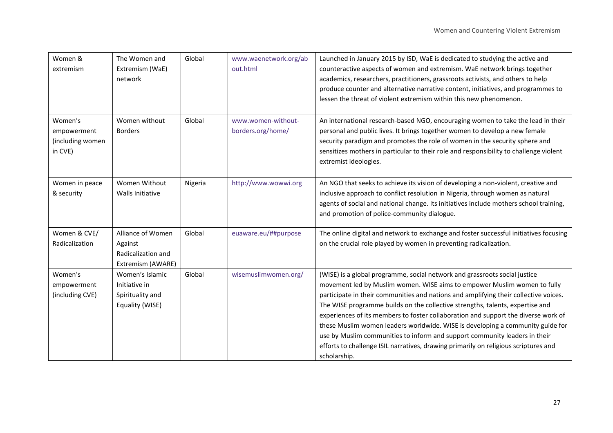| Women &<br>extremism                                  | The Women and<br>Extremism (WaE)<br>network                             | Global  | www.waenetwork.org/ab<br>out.html       | Launched in January 2015 by ISD, WaE is dedicated to studying the active and<br>counteractive aspects of women and extremism. WaE network brings together<br>academics, researchers, practitioners, grassroots activists, and others to help<br>produce counter and alternative narrative content, initiatives, and programmes to<br>lessen the threat of violent extremism within this new phenomenon.                                                                                                                                                                                                                                                                                      |
|-------------------------------------------------------|-------------------------------------------------------------------------|---------|-----------------------------------------|----------------------------------------------------------------------------------------------------------------------------------------------------------------------------------------------------------------------------------------------------------------------------------------------------------------------------------------------------------------------------------------------------------------------------------------------------------------------------------------------------------------------------------------------------------------------------------------------------------------------------------------------------------------------------------------------|
| Women's<br>empowerment<br>(including women<br>in CVE) | Women without<br><b>Borders</b>                                         | Global  | www.women-without-<br>borders.org/home/ | An international research-based NGO, encouraging women to take the lead in their<br>personal and public lives. It brings together women to develop a new female<br>security paradigm and promotes the role of women in the security sphere and<br>sensitizes mothers in particular to their role and responsibility to challenge violent<br>extremist ideologies.                                                                                                                                                                                                                                                                                                                            |
| Women in peace<br>& security                          | Women Without<br>Walls Initiative                                       | Nigeria | http://www.wowwi.org                    | An NGO that seeks to achieve its vision of developing a non-violent, creative and<br>inclusive approach to conflict resolution in Nigeria, through women as natural<br>agents of social and national change. Its initiatives include mothers school training,<br>and promotion of police-community dialogue.                                                                                                                                                                                                                                                                                                                                                                                 |
| Women & CVE/<br>Radicalization                        | Alliance of Women<br>Against<br>Radicalization and<br>Extremism (AWARE) | Global  | euaware.eu/##purpose                    | The online digital and network to exchange and foster successful initiatives focusing<br>on the crucial role played by women in preventing radicalization.                                                                                                                                                                                                                                                                                                                                                                                                                                                                                                                                   |
| Women's<br>empowerment<br>(including CVE)             | Women's Islamic<br>Initiative in<br>Spirituality and<br>Equality (WISE) | Global  | wisemuslimwomen.org/                    | (WISE) is a global programme, social network and grassroots social justice<br>movement led by Muslim women. WISE aims to empower Muslim women to fully<br>participate in their communities and nations and amplifying their collective voices.<br>The WISE programme builds on the collective strengths, talents, expertise and<br>experiences of its members to foster collaboration and support the diverse work of<br>these Muslim women leaders worldwide. WISE is developing a community guide for<br>use by Muslim communities to inform and support community leaders in their<br>efforts to challenge ISIL narratives, drawing primarily on religious scriptures and<br>scholarship. |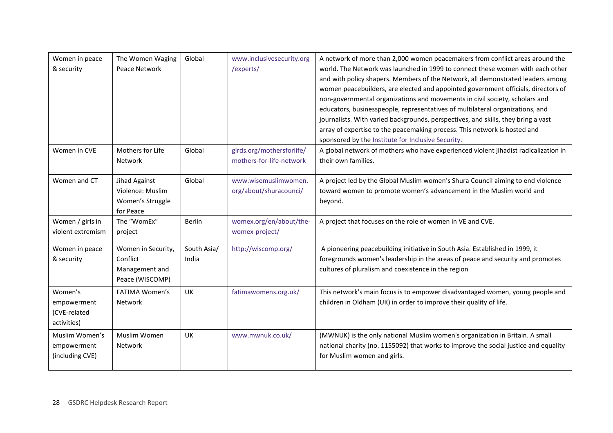| Women in peace<br>& security                          | The Women Waging<br>Peace Network                                   | Global               | www.inclusivesecurity.org<br>/experts/                | A network of more than 2,000 women peacemakers from conflict areas around the<br>world. The Network was launched in 1999 to connect these women with each other<br>and with policy shapers. Members of the Network, all demonstrated leaders among<br>women peacebuilders, are elected and appointed government officials, directors of<br>non-governmental organizations and movements in civil society, scholars and<br>educators, businesspeople, representatives of multilateral organizations, and<br>journalists. With varied backgrounds, perspectives, and skills, they bring a vast<br>array of expertise to the peacemaking process. This network is hosted and<br>sponsored by the Institute for Inclusive Security. |
|-------------------------------------------------------|---------------------------------------------------------------------|----------------------|-------------------------------------------------------|---------------------------------------------------------------------------------------------------------------------------------------------------------------------------------------------------------------------------------------------------------------------------------------------------------------------------------------------------------------------------------------------------------------------------------------------------------------------------------------------------------------------------------------------------------------------------------------------------------------------------------------------------------------------------------------------------------------------------------|
| Women in CVE                                          | Mothers for Life<br>Network                                         | Global               | girds.org/mothersforlife/<br>mothers-for-life-network | A global network of mothers who have experienced violent jihadist radicalization in<br>their own families.                                                                                                                                                                                                                                                                                                                                                                                                                                                                                                                                                                                                                      |
| Women and CT                                          | Jihad Against<br>Violence: Muslim<br>Women's Struggle<br>for Peace  | Global               | www.wisemuslimwomen.<br>org/about/shuracounci/        | A project led by the Global Muslim women's Shura Council aiming to end violence<br>toward women to promote women's advancement in the Muslim world and<br>beyond.                                                                                                                                                                                                                                                                                                                                                                                                                                                                                                                                                               |
| Women / girls in<br>violent extremism                 | The "WomEx"<br>project                                              | <b>Berlin</b>        | womex.org/en/about/the-<br>womex-project/             | A project that focuses on the role of women in VE and CVE.                                                                                                                                                                                                                                                                                                                                                                                                                                                                                                                                                                                                                                                                      |
| Women in peace<br>& security                          | Women in Security,<br>Conflict<br>Management and<br>Peace (WISCOMP) | South Asia/<br>India | http://wiscomp.org/                                   | A pioneering peacebuilding initiative in South Asia. Established in 1999, it<br>foregrounds women's leadership in the areas of peace and security and promotes<br>cultures of pluralism and coexistence in the region                                                                                                                                                                                                                                                                                                                                                                                                                                                                                                           |
| Women's<br>empowerment<br>(CVE-related<br>activities) | <b>FATIMA Women's</b><br>Network                                    | UK                   | fatimawomens.org.uk/                                  | This network's main focus is to empower disadvantaged women, young people and<br>children in Oldham (UK) in order to improve their quality of life.                                                                                                                                                                                                                                                                                                                                                                                                                                                                                                                                                                             |
| Muslim Women's<br>empowerment<br>(including CVE)      | Muslim Women<br>Network                                             | UK                   | www.mwnuk.co.uk/                                      | (MWNUK) is the only national Muslim women's organization in Britain. A small<br>national charity (no. 1155092) that works to improve the social justice and equality<br>for Muslim women and girls.                                                                                                                                                                                                                                                                                                                                                                                                                                                                                                                             |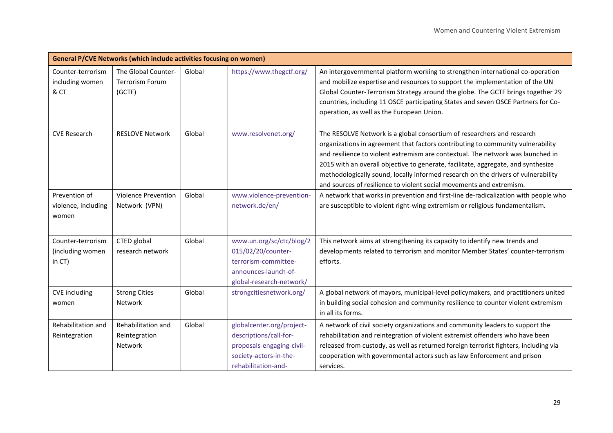|                                                 | <b>General P/CVE Networks (which include activities focusing on women)</b> |        |                                                                                                                                   |                                                                                                                                                                                                                                                                                                                                                                                                                                                                                                |
|-------------------------------------------------|----------------------------------------------------------------------------|--------|-----------------------------------------------------------------------------------------------------------------------------------|------------------------------------------------------------------------------------------------------------------------------------------------------------------------------------------------------------------------------------------------------------------------------------------------------------------------------------------------------------------------------------------------------------------------------------------------------------------------------------------------|
| Counter-terrorism<br>including women<br>& CT    | The Global Counter-<br><b>Terrorism Forum</b><br>(GCTF)                    | Global | https://www.thegctf.org/                                                                                                          | An intergovernmental platform working to strengthen international co-operation<br>and mobilize expertise and resources to support the implementation of the UN<br>Global Counter-Terrorism Strategy around the globe. The GCTF brings together 29<br>countries, including 11 OSCE participating States and seven OSCE Partners for Co-<br>operation, as well as the European Union.                                                                                                            |
| <b>CVE Research</b>                             | <b>RESLOVE Network</b>                                                     | Global | www.resolvenet.org/                                                                                                               | The RESOLVE Network is a global consortium of researchers and research<br>organizations in agreement that factors contributing to community vulnerability<br>and resilience to violent extremism are contextual. The network was launched in<br>2015 with an overall objective to generate, facilitate, aggregate, and synthesize<br>methodologically sound, locally informed research on the drivers of vulnerability<br>and sources of resilience to violent social movements and extremism. |
| Prevention of<br>violence, including<br>women   | <b>Violence Prevention</b><br>Network (VPN)                                | Global | www.violence-prevention-<br>network.de/en/                                                                                        | A network that works in prevention and first-line de-radicalization with people who<br>are susceptible to violent right-wing extremism or religious fundamentalism.                                                                                                                                                                                                                                                                                                                            |
| Counter-terrorism<br>(including women<br>in CT) | CTED global<br>research network                                            | Global | www.un.org/sc/ctc/blog/2<br>015/02/20/counter-<br>terrorism-committee-<br>announces-launch-of-<br>global-research-network/        | This network aims at strengthening its capacity to identify new trends and<br>developments related to terrorism and monitor Member States' counter-terrorism<br>efforts.                                                                                                                                                                                                                                                                                                                       |
| <b>CVE</b> including<br>women                   | <b>Strong Cities</b><br>Network                                            | Global | strongcitiesnetwork.org/                                                                                                          | A global network of mayors, municipal-level policymakers, and practitioners united<br>in building social cohesion and community resilience to counter violent extremism<br>in all its forms.                                                                                                                                                                                                                                                                                                   |
| Rehabilitation and<br>Reintegration             | Rehabilitation and<br>Reintegration<br>Network                             | Global | globalcenter.org/project-<br>descriptions/call-for-<br>proposals-engaging-civil-<br>society-actors-in-the-<br>rehabilitation-and- | A network of civil society organizations and community leaders to support the<br>rehabilitation and reintegration of violent extremist offenders who have been<br>released from custody, as well as returned foreign terrorist fighters, including via<br>cooperation with governmental actors such as law Enforcement and prison<br>services.                                                                                                                                                 |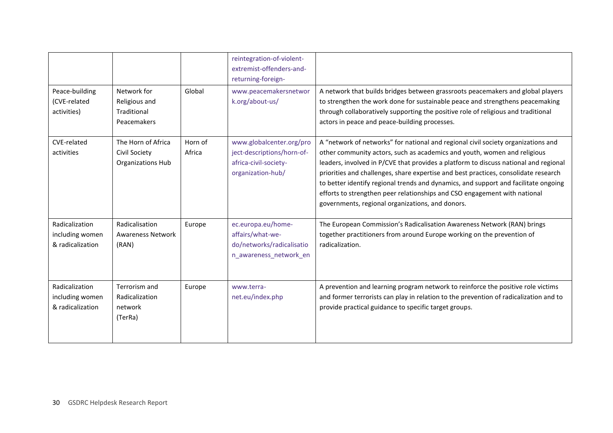|                                                       |                                                                 |                   | reintegration-of-violent-<br>extremist-offenders-and-<br>returning-foreign-                          |                                                                                                                                                                                                                                                                                                                                                                                                                                                                                                                                                                      |
|-------------------------------------------------------|-----------------------------------------------------------------|-------------------|------------------------------------------------------------------------------------------------------|----------------------------------------------------------------------------------------------------------------------------------------------------------------------------------------------------------------------------------------------------------------------------------------------------------------------------------------------------------------------------------------------------------------------------------------------------------------------------------------------------------------------------------------------------------------------|
| Peace-building<br>(CVE-related<br>activities)         | Network for<br>Religious and<br>Traditional<br>Peacemakers      | Global            | www.peacemakersnetwor<br>k.org/about-us/                                                             | A network that builds bridges between grassroots peacemakers and global players<br>to strengthen the work done for sustainable peace and strengthens peacemaking<br>through collaboratively supporting the positive role of religious and traditional<br>actors in peace and peace-building processes.                                                                                                                                                                                                                                                               |
| CVE-related<br>activities                             | The Horn of Africa<br>Civil Society<br><b>Organizations Hub</b> | Horn of<br>Africa | www.globalcenter.org/pro<br>ject-descriptions/horn-of-<br>africa-civil-society-<br>organization-hub/ | A "network of networks" for national and regional civil society organizations and<br>other community actors, such as academics and youth, women and religious<br>leaders, involved in P/CVE that provides a platform to discuss national and regional<br>priorities and challenges, share expertise and best practices, consolidate research<br>to better identify regional trends and dynamics, and support and facilitate ongoing<br>efforts to strengthen peer relationships and CSO engagement with national<br>governments, regional organizations, and donors. |
| Radicalization<br>including women<br>& radicalization | Radicalisation<br><b>Awareness Network</b><br>(RAN)             | Europe            | ec.europa.eu/home-<br>affairs/what-we-<br>do/networks/radicalisatio<br>n_awareness_network_en        | The European Commission's Radicalisation Awareness Network (RAN) brings<br>together practitioners from around Europe working on the prevention of<br>radicalization.                                                                                                                                                                                                                                                                                                                                                                                                 |
| Radicalization<br>including women<br>& radicalization | Terrorism and<br>Radicalization<br>network<br>(TerRa)           | Europe            | www.terra-<br>net.eu/index.php                                                                       | A prevention and learning program network to reinforce the positive role victims<br>and former terrorists can play in relation to the prevention of radicalization and to<br>provide practical guidance to specific target groups.                                                                                                                                                                                                                                                                                                                                   |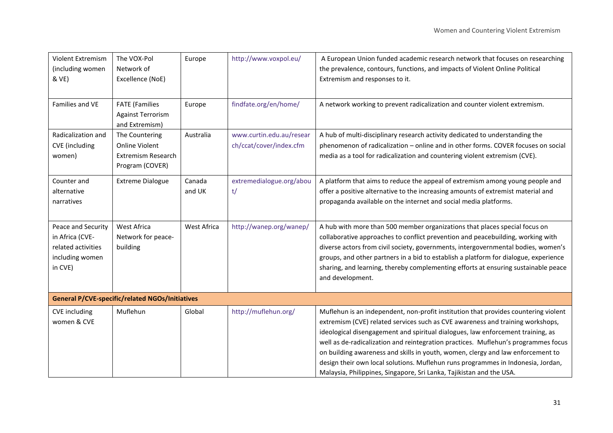| Violent Extremism<br>(including women<br>& VE)                                            | The VOX-Pol<br>Network of<br>Excellence (NoE)                                           | Europe           | http://www.voxpol.eu/                               | A European Union funded academic research network that focuses on researching<br>the prevalence, contours, functions, and impacts of Violent Online Political<br>Extremism and responses to it.                                                                                                                                                                                                                                                                                                                                                                                               |
|-------------------------------------------------------------------------------------------|-----------------------------------------------------------------------------------------|------------------|-----------------------------------------------------|-----------------------------------------------------------------------------------------------------------------------------------------------------------------------------------------------------------------------------------------------------------------------------------------------------------------------------------------------------------------------------------------------------------------------------------------------------------------------------------------------------------------------------------------------------------------------------------------------|
| Families and VE                                                                           | <b>FATE</b> (Families<br><b>Against Terrorism</b><br>and Extremism)                     | Europe           | findfate.org/en/home/                               | A network working to prevent radicalization and counter violent extremism.                                                                                                                                                                                                                                                                                                                                                                                                                                                                                                                    |
| Radicalization and<br><b>CVE</b> (including<br>women)                                     | The Countering<br><b>Online Violent</b><br><b>Extremism Research</b><br>Program (COVER) | Australia        | www.curtin.edu.au/resear<br>ch/ccat/cover/index.cfm | A hub of multi-disciplinary research activity dedicated to understanding the<br>phenomenon of radicalization - online and in other forms. COVER focuses on social<br>media as a tool for radicalization and countering violent extremism (CVE).                                                                                                                                                                                                                                                                                                                                               |
| Counter and<br>alternative<br>narratives                                                  | <b>Extreme Dialogue</b>                                                                 | Canada<br>and UK | extremedialogue.org/abou<br>t/                      | A platform that aims to reduce the appeal of extremism among young people and<br>offer a positive alternative to the increasing amounts of extremist material and<br>propaganda available on the internet and social media platforms.                                                                                                                                                                                                                                                                                                                                                         |
| Peace and Security<br>in Africa (CVE-<br>related activities<br>including women<br>in CVE) | West Africa<br>Network for peace-<br>building                                           | West Africa      | http://wanep.org/wanep/                             | A hub with more than 500 member organizations that places special focus on<br>collaborative approaches to conflict prevention and peacebuilding, working with<br>diverse actors from civil society, governments, intergovernmental bodies, women's<br>groups, and other partners in a bid to establish a platform for dialogue, experience<br>sharing, and learning, thereby complementing efforts at ensuring sustainable peace<br>and development.                                                                                                                                          |
|                                                                                           | <b>General P/CVE-specific/related NGOs/Initiatives</b>                                  |                  |                                                     |                                                                                                                                                                                                                                                                                                                                                                                                                                                                                                                                                                                               |
| <b>CVE</b> including<br>women & CVE                                                       | Muflehun                                                                                | Global           | http://muflehun.org/                                | Muflehun is an independent, non-profit institution that provides countering violent<br>extremism (CVE) related services such as CVE awareness and training workshops,<br>ideological disengagement and spiritual dialogues, law enforcement training, as<br>well as de-radicalization and reintegration practices. Muflehun's programmes focus<br>on building awareness and skills in youth, women, clergy and law enforcement to<br>design their own local solutions. Muflehun runs programmes in Indonesia, Jordan,<br>Malaysia, Philippines, Singapore, Sri Lanka, Tajikistan and the USA. |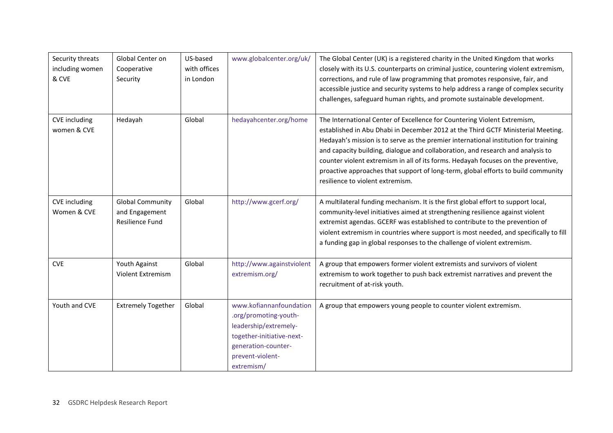| Security threats<br>including women<br>& CVE | Global Center on<br>Cooperative<br>Security                         | US-based<br>with offices<br>in London | www.globalcenter.org/uk/                                                                                                                                        | The Global Center (UK) is a registered charity in the United Kingdom that works<br>closely with its U.S. counterparts on criminal justice, countering violent extremism,<br>corrections, and rule of law programming that promotes responsive, fair, and<br>accessible justice and security systems to help address a range of complex security<br>challenges, safeguard human rights, and promote sustainable development.                                                                                                                          |
|----------------------------------------------|---------------------------------------------------------------------|---------------------------------------|-----------------------------------------------------------------------------------------------------------------------------------------------------------------|------------------------------------------------------------------------------------------------------------------------------------------------------------------------------------------------------------------------------------------------------------------------------------------------------------------------------------------------------------------------------------------------------------------------------------------------------------------------------------------------------------------------------------------------------|
| <b>CVE</b> including<br>women & CVE          | Hedayah                                                             | Global                                | hedayahcenter.org/home                                                                                                                                          | The International Center of Excellence for Countering Violent Extremism,<br>established in Abu Dhabi in December 2012 at the Third GCTF Ministerial Meeting.<br>Hedayah's mission is to serve as the premier international institution for training<br>and capacity building, dialogue and collaboration, and research and analysis to<br>counter violent extremism in all of its forms. Hedayah focuses on the preventive,<br>proactive approaches that support of long-term, global efforts to build community<br>resilience to violent extremism. |
| <b>CVE</b> including<br>Women & CVE          | <b>Global Community</b><br>and Engagement<br><b>Resilience Fund</b> | Global                                | http://www.gcerf.org/                                                                                                                                           | A multilateral funding mechanism. It is the first global effort to support local,<br>community-level initiatives aimed at strengthening resilience against violent<br>extremist agendas. GCERF was established to contribute to the prevention of<br>violent extremism in countries where support is most needed, and specifically to fill<br>a funding gap in global responses to the challenge of violent extremism.                                                                                                                               |
| <b>CVE</b>                                   | Youth Against<br>Violent Extremism                                  | Global                                | http://www.againstviolent<br>extremism.org/                                                                                                                     | A group that empowers former violent extremists and survivors of violent<br>extremism to work together to push back extremist narratives and prevent the<br>recruitment of at-risk youth.                                                                                                                                                                                                                                                                                                                                                            |
| Youth and CVE                                | <b>Extremely Together</b>                                           | Global                                | www.kofiannanfoundation<br>.org/promoting-youth-<br>leadership/extremely-<br>together-initiative-next-<br>generation-counter-<br>prevent-violent-<br>extremism/ | A group that empowers young people to counter violent extremism.                                                                                                                                                                                                                                                                                                                                                                                                                                                                                     |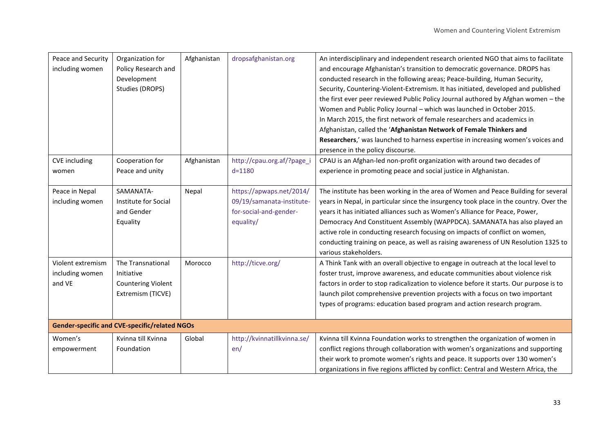| Peace and Security<br>including women          | Organization for<br>Policy Research and<br>Development<br>Studies (DROPS)         | Afghanistan | dropsafghanistan.org                                                                         | An interdisciplinary and independent research oriented NGO that aims to facilitate<br>and encourage Afghanistan's transition to democratic governance. DROPS has<br>conducted research in the following areas; Peace-building, Human Security,<br>Security, Countering-Violent-Extremism. It has initiated, developed and published<br>the first ever peer reviewed Public Policy Journal authored by Afghan women - the<br>Women and Public Policy Journal - which was launched in October 2015.<br>In March 2015, the first network of female researchers and academics in<br>Afghanistan, called the 'Afghanistan Network of Female Thinkers and<br>Researchers,' was launched to harness expertise in increasing women's voices and<br>presence in the policy discourse. |
|------------------------------------------------|-----------------------------------------------------------------------------------|-------------|----------------------------------------------------------------------------------------------|------------------------------------------------------------------------------------------------------------------------------------------------------------------------------------------------------------------------------------------------------------------------------------------------------------------------------------------------------------------------------------------------------------------------------------------------------------------------------------------------------------------------------------------------------------------------------------------------------------------------------------------------------------------------------------------------------------------------------------------------------------------------------|
| <b>CVE</b> including<br>women                  | Cooperation for<br>Peace and unity                                                | Afghanistan | http://cpau.org.af/?page_i<br>$d = 1180$                                                     | CPAU is an Afghan-led non-profit organization with around two decades of<br>experience in promoting peace and social justice in Afghanistan.                                                                                                                                                                                                                                                                                                                                                                                                                                                                                                                                                                                                                                 |
| Peace in Nepal<br>including women              | SAMANATA-<br>Institute for Social<br>and Gender<br>Equality                       | Nepal       | https://apwaps.net/2014/<br>09/19/samanata-institute-<br>for-social-and-gender-<br>equality/ | The institute has been working in the area of Women and Peace Building for several<br>years in Nepal, in particular since the insurgency took place in the country. Over the<br>years it has initiated alliances such as Women's Alliance for Peace, Power,<br>Democracy And Constituent Assembly (WAPPDCA). SAMANATA has also played an<br>active role in conducting research focusing on impacts of conflict on women,<br>conducting training on peace, as well as raising awareness of UN Resolution 1325 to<br>various stakeholders.                                                                                                                                                                                                                                     |
| Violent extremism<br>including women<br>and VE | The Transnational<br>Initiative<br><b>Countering Violent</b><br>Extremism (TICVE) | Morocco     | http://ticve.org/                                                                            | A Think Tank with an overall objective to engage in outreach at the local level to<br>foster trust, improve awareness, and educate communities about violence risk<br>factors in order to stop radicalization to violence before it starts. Our purpose is to<br>launch pilot comprehensive prevention projects with a focus on two important<br>types of programs: education based program and action research program.                                                                                                                                                                                                                                                                                                                                                     |
|                                                | <b>Gender-specific and CVE-specific/related NGOs</b>                              |             |                                                                                              |                                                                                                                                                                                                                                                                                                                                                                                                                                                                                                                                                                                                                                                                                                                                                                              |
| Women's<br>empowerment                         | Kvinna till Kvinna<br>Foundation                                                  | Global      | http://kvinnatillkvinna.se/<br>en/                                                           | Kvinna till Kvinna Foundation works to strengthen the organization of women in<br>conflict regions through collaboration with women's organizations and supporting<br>their work to promote women's rights and peace. It supports over 130 women's<br>organizations in five regions afflicted by conflict: Central and Western Africa, the                                                                                                                                                                                                                                                                                                                                                                                                                                   |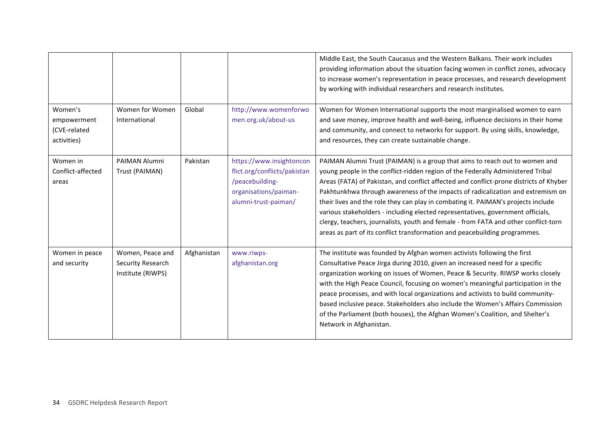|                                                       |                                                            |             |                                                                                                                              | Middle East, the South Caucasus and the Western Balkans. Their work includes<br>providing information about the situation facing women in conflict zones, advocacy<br>to increase women's representation in peace processes, and research development<br>by working with individual researchers and research institutes.                                                                                                                                                                                                                                                                                                                                                                 |
|-------------------------------------------------------|------------------------------------------------------------|-------------|------------------------------------------------------------------------------------------------------------------------------|------------------------------------------------------------------------------------------------------------------------------------------------------------------------------------------------------------------------------------------------------------------------------------------------------------------------------------------------------------------------------------------------------------------------------------------------------------------------------------------------------------------------------------------------------------------------------------------------------------------------------------------------------------------------------------------|
| Women's<br>empowerment<br>(CVE-related<br>activities) | Women for Women<br>International                           | Global      | http://www.womenforwo<br>men.org.uk/about-us                                                                                 | Women for Women International supports the most marginalised women to earn<br>and save money, improve health and well-being, influence decisions in their home<br>and community, and connect to networks for support. By using skills, knowledge,<br>and resources, they can create sustainable change.                                                                                                                                                                                                                                                                                                                                                                                  |
| Women in<br>Conflict-affected<br>areas                | PAIMAN Alumni<br>Trust (PAIMAN)                            | Pakistan    | https://www.insightoncon<br>flict.org/conflicts/pakistan<br>/peacebuilding-<br>organisations/paiman-<br>alumni-trust-paiman/ | PAIMAN Alumni Trust (PAIMAN) is a group that aims to reach out to women and<br>young people in the conflict-ridden region of the Federally Administered Tribal<br>Areas (FATA) of Pakistan, and conflict affected and conflict-prone districts of Khyber<br>Pakhtunkhwa through awareness of the impacts of radicalization and extremism on<br>their lives and the role they can play in combating it. PAIMAN's projects include<br>various stakeholders - including elected representatives, government officials,<br>clergy, teachers, journalists, youth and female - from FATA and other conflict-torn<br>areas as part of its conflict transformation and peacebuilding programmes. |
| Women in peace<br>and security                        | Women, Peace and<br>Security Research<br>Institute (RIWPS) | Afghanistan | www.riwps-<br>afghanistan.org                                                                                                | The institute was founded by Afghan women activists following the first<br>Consultative Peace Jirga during 2010, given an increased need for a specific<br>organization working on issues of Women, Peace & Security. RIWSP works closely<br>with the High Peace Council, focusing on women's meaningful participation in the<br>peace processes, and with local organizations and activists to build community-<br>based inclusive peace. Stakeholders also include the Women's Affairs Commission<br>of the Parliament (both houses), the Afghan Women's Coalition, and Shelter's<br>Network in Afghanistan.                                                                           |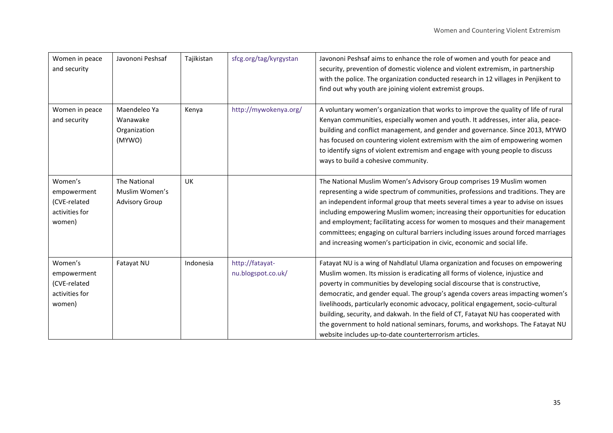| Women in peace<br>and security                                     | Javononi Peshsaf                                        | Tajikistan | sfcg.org/tag/kyrgystan                | Javononi Peshsaf aims to enhance the role of women and youth for peace and<br>security, prevention of domestic violence and violent extremism, in partnership<br>with the police. The organization conducted research in 12 villages in Penjikent to<br>find out why youth are joining violent extremist groups.                                                                                                                                                                                                                                                                                                                                          |
|--------------------------------------------------------------------|---------------------------------------------------------|------------|---------------------------------------|-----------------------------------------------------------------------------------------------------------------------------------------------------------------------------------------------------------------------------------------------------------------------------------------------------------------------------------------------------------------------------------------------------------------------------------------------------------------------------------------------------------------------------------------------------------------------------------------------------------------------------------------------------------|
| Women in peace<br>and security                                     | Maendeleo Ya<br>Wanawake<br>Organization<br>(MYWO)      | Kenya      | http://mywokenya.org/                 | A voluntary women's organization that works to improve the quality of life of rural<br>Kenyan communities, especially women and youth. It addresses, inter alia, peace-<br>building and conflict management, and gender and governance. Since 2013, MYWO<br>has focused on countering violent extremism with the aim of empowering women<br>to identify signs of violent extremism and engage with young people to discuss<br>ways to build a cohesive community.                                                                                                                                                                                         |
| Women's<br>empowerment<br>(CVE-related<br>activities for<br>women) | The National<br>Muslim Women's<br><b>Advisory Group</b> | <b>UK</b>  |                                       | The National Muslim Women's Advisory Group comprises 19 Muslim women<br>representing a wide spectrum of communities, professions and traditions. They are<br>an independent informal group that meets several times a year to advise on issues<br>including empowering Muslim women; increasing their opportunities for education<br>and employment; facilitating access for women to mosques and their management<br>committees; engaging on cultural barriers including issues around forced marriages<br>and increasing women's participation in civic, economic and social life.                                                                      |
| Women's<br>empowerment<br>(CVE-related<br>activities for<br>women) | Fatayat NU                                              | Indonesia  | http://fatayat-<br>nu.blogspot.co.uk/ | Fatayat NU is a wing of Nahdlatul Ulama organization and focuses on empowering<br>Muslim women. Its mission is eradicating all forms of violence, injustice and<br>poverty in communities by developing social discourse that is constructive,<br>democratic, and gender equal. The group's agenda covers areas impacting women's<br>livelihoods, particularly economic advocacy, political engagement, socio-cultural<br>building, security, and dakwah. In the field of CT, Fatayat NU has cooperated with<br>the government to hold national seminars, forums, and workshops. The Fatayat NU<br>website includes up-to-date counterterrorism articles. |